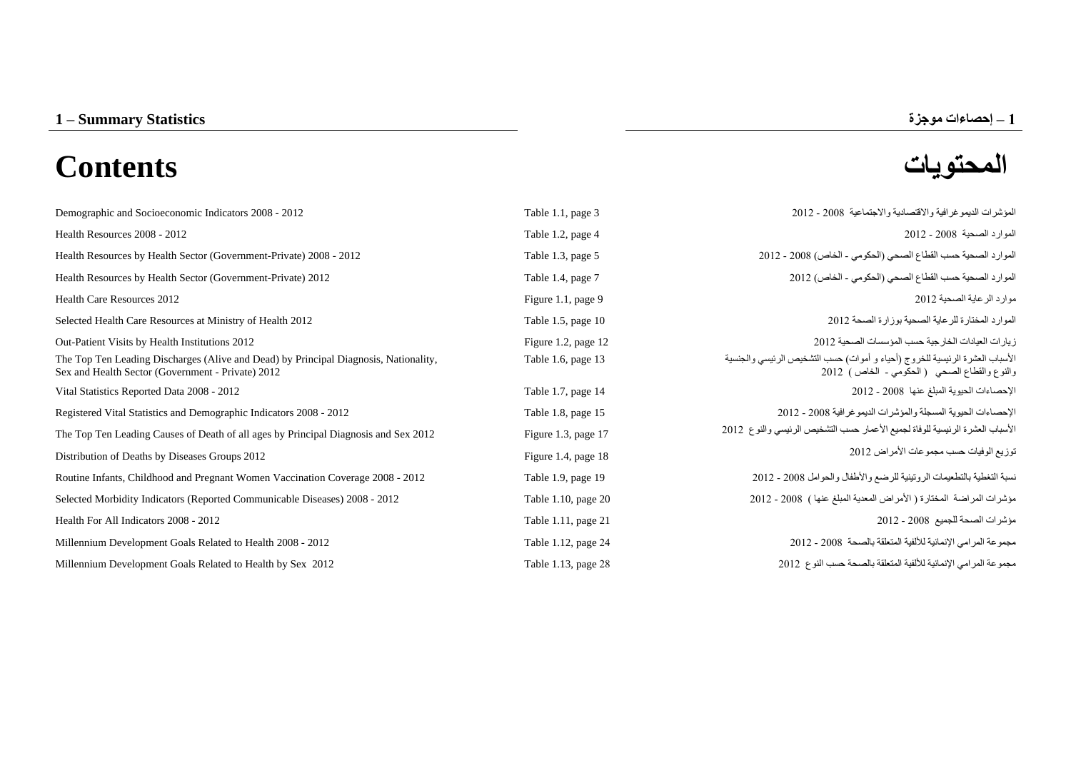# **المحتويات Contents**

| Demographic and Socioeconomic Indicators 2008 - 2012                                                                                      | Table 1.1, page 3   | المؤشِّر ات الديمو غر افية و الاقتصادية و الاجتماعية 2008 - 2012                                                           |
|-------------------------------------------------------------------------------------------------------------------------------------------|---------------------|----------------------------------------------------------------------------------------------------------------------------|
| Health Resources 2008 - 2012                                                                                                              | Table 1.2, page 4   | الموارد الصحية 2008 - 2012                                                                                                 |
| Health Resources by Health Sector (Government-Private) 2008 - 2012                                                                        | Table 1.3, page 5   | الموارد الصحية حسب القطاع الصحى (الحكومي - الخاص) 2008 - 2012                                                              |
| Health Resources by Health Sector (Government-Private) 2012                                                                               | Table 1.4, page 7   | الموارد الصحية حسب القطاع الصحى (الحكومي - الخاص) 2012                                                                     |
| <b>Health Care Resources 2012</b>                                                                                                         | Figure 1.1, page 9  | موارد الر عاية الصحية 2012                                                                                                 |
| Selected Health Care Resources at Ministry of Health 2012                                                                                 | Table 1.5, page 10  | الموارد المختارة للر عاية الصحية بوزارة الصحة 2012                                                                         |
| Out-Patient Visits by Health Institutions 2012                                                                                            | Figure 1.2, page 12 | زيار ات العيادات الخار جية حسب المؤسسات الصحية 2012                                                                        |
| The Top Ten Leading Discharges (Alive and Dead) by Principal Diagnosis, Nationality,<br>Sex and Health Sector (Government - Private) 2012 | Table 1.6, page 13  | الأسباب العشرة الرئيسية للخروج (أحياء و أموات) حسب التشخيص الرئيسي والجنسية<br>والنوع والقطاع الصحي (الحكومي - الخاص) 2012 |
| Vital Statistics Reported Data 2008 - 2012                                                                                                | Table 1.7, page 14  | الإحصاءات الحيوية المبلغ عنها 2008 - 2012                                                                                  |
| Registered Vital Statistics and Demographic Indicators 2008 - 2012                                                                        | Table 1.8, page 15  | الإحصاءات الحيوية المسجلة والمؤشرات الديمو غرافية 2008 - 2012                                                              |
| The Top Ten Leading Causes of Death of all ages by Principal Diagnosis and Sex 2012                                                       | Figure 1.3, page 17 | الأسباب العشرة الرئيسية للوفاة لجميع الأعمار حسب التشخيص الرئيسي والنوع 2012                                               |
| Distribution of Deaths by Diseases Groups 2012                                                                                            | Figure 1.4, page 18 | توزيع الوفيات حسب مجموعات الأمراض 2012                                                                                     |
| Routine Infants, Childhood and Pregnant Women Vaccination Coverage 2008 - 2012                                                            | Table 1.9, page 19  | نسبة التغطية بالتطعيمات الرونينية للرضع والأطفال والحوامل 2008 - 2012                                                      |
| Selected Morbidity Indicators (Reported Communicable Diseases) 2008 - 2012                                                                | Table 1.10, page 20 | مؤشرات المراضة المختارة (الأمراض المعدية المبلغ عنها ) 2008 - 2012                                                         |
| Health For All Indicators 2008 - 2012                                                                                                     | Table 1.11, page 21 | مؤشرات الصحة للجميع 2008 - 2012                                                                                            |
| Millennium Development Goals Related to Health 2008 - 2012                                                                                | Table 1.12, page 24 | مجموعة المرامي الإنمائية للألفية المتعلقة بالصحة 2008 - 2012                                                               |
| Millennium Development Goals Related to Health by Sex 2012                                                                                | Table 1.13, page 28 | مجموعة المرامي الإنمائية للألفية المتعلقة بالصحة حسب النوع 2012                                                            |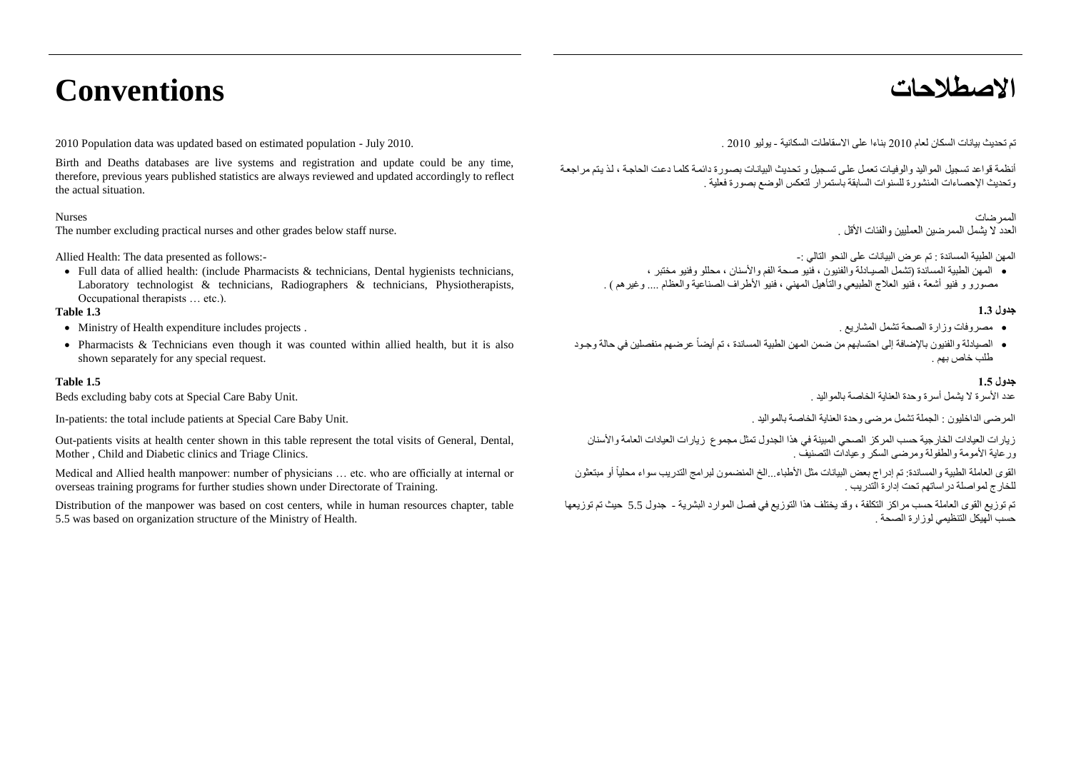# **االصطالحات Conventions**

تم تحديث بيانات السكان لعام 2010 بناءا على الاسقاطات السكانية - يوليو 2010 . 2010 . 2010 . 2010 . 2010 . July 2010 . كم تحديث بيانات السكانية - يوليو 2010 . 2010 . 2010 . 2010 . 2010 . 20

Birth and Deaths databases are live systems and registration and update could be any time, therefore, previous years published statistics are always reviewed and updated accordingly to reflect the actual situation.

#### Nurses

The number excluding practical nurses and other grades below staff nurse.

Allied Health: The data presented as follows:-

 $\bullet$  Full data of allied health: (include Pharmacists & technicians, Dental hygienists technicians, Laboratory technologist & technicians, Radiographers & technicians, Physiotherapists, Occupational therapists … etc.).

#### **جدول 1.1 1.3 Table**

- Ministry of Health expenditure includes projects . . المشاريع تشمل الصحة وزارة مصروفات
- Pharmacists & Technicians even though it was counted within allied health, but it is also shown separately for any special request.

#### **جدول 1.1 1.5 Table**

عدد األسرة ال يشمل أسرة وحدة العناية الخاصة بالمواليد . .Unit Baby Care Special at cots baby excluding Beds

In-patients: the total include patients at Special Care Baby Unit. . بالمواليد الخاصة العناية وحدة مرضى تشمل الجملة : الداخليون المرضى

Out-patients visits at health center shown in this table represent the total visits of General, Dental, Mother , Child and Diabetic clinics and Triage Clinics.

Medical and Allied health manpower: number of physicians … etc. who are officially at internal or overseas training programs for further studies shown under Directorate of Training.

Distribution of the manpower was based on cost centers, while in human resources chapter, table 5.5 was based on organization structure of the Ministry of Health.

أنظمة قواعد تسجيل المواليد والوفيات تعمل على تسجيل و تحديث البيانات بصورة دائمة كلما دعت الحاجة ، لذ يتم مر اجعة وتحديث اإلحصاءات المنشورة للسنوات السابقة باستمرار لتعكس الوضع بصورة فعلية .

#### الممر ضات

المهن الطبية المساندة : تم عرض البيانات على النحو التالي -:

 المهن الطبية المساندة )تشمل الصيـادلة والفنيون ا فنيو صحة الفم واألسنان ا محللو وفنيو مختبر ا س مصورو و فنيو أشعة ، فنيو العلاج الطبيعي والتأهيل المهني ، فنيو الأطراف الصناعية والعظام .... وغير هم ) .<br>مصور و و فنيو أشعة ، فنيو العلاج الطبيعي والتأهيل المهني ، فنيو الأطراف الصناعية والعظام .... وغير هم ) .

- 
- الصيادلة والفنيون بالإضافة إلى احتسابهم من ضمن المهن الطبية المساندة ، تم أيضاً عرضهم منفصلين في حالة وجود طلب خاص بهم .

زيارات العيادات الخارجية حسب المركز الصحي المبينة في هذا الجدول تمثل مجموع زيارات العيادات العامة والأسنان ورعاية الأمومة والطفولة ومرضىي السكر وعيادات التصنيف .

القوى العاملة الطبية والمساندة: تم إدراج بعض البيانات مثل الأطباء...الخ المنضمون لبرامج التدريب سواء محليا أو مبتعثون ً .<br>للخارج لمو اصلة در اساتهم تحت إدار ة التدريب .

تم توزيع القوى العاملة حسب مراكز التكلفة ، وقد يختلف هذا التوزيع في فصل الموارد البشرية - جدول 5.5 حيث تم توزيعها حسب الهيكل التنظيمي لوزارة الصحة .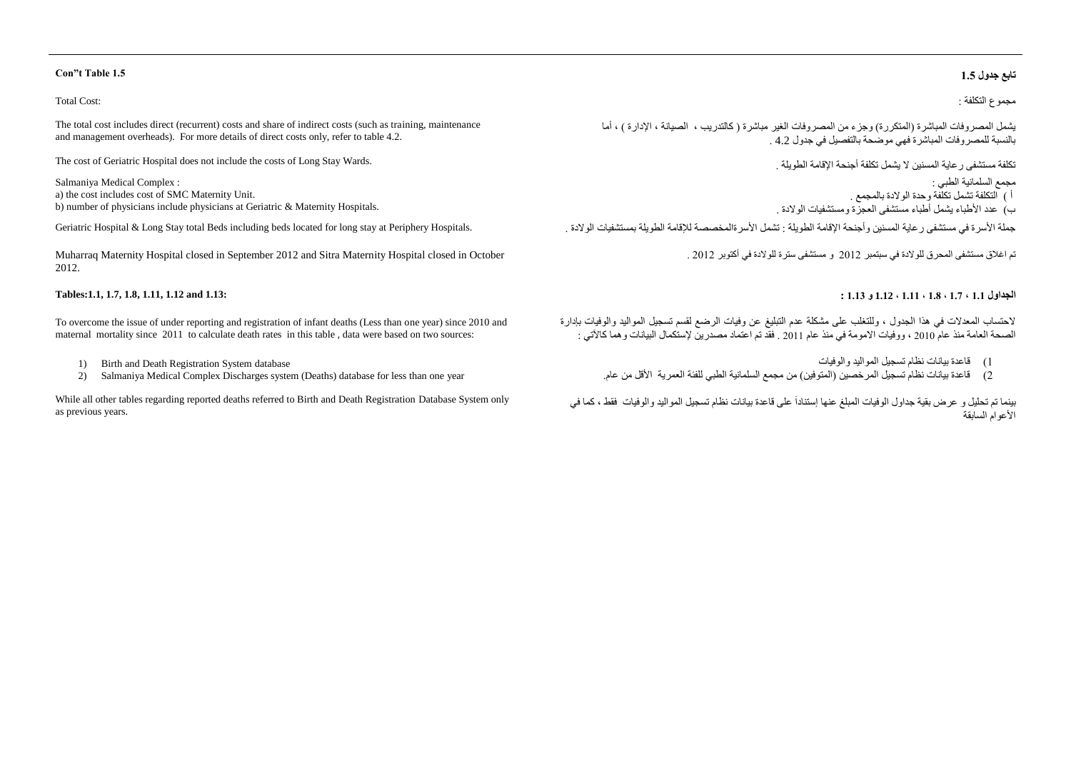#### Total Cost:

The total cost includes direct (recurrent) costs and share of indirect costs (such as training, maintenance and management overheads). For more details of direct costs only, refer to table 4.2.

The cost of Geriatric Hospital does not include the costs of Long Stay Wards.

Salmaniya Medical Complex : a) the cost includes cost of SMC Maternity Unit. b) number of physicians include physicians at Geriatric & Maternity Hospitals.

جملة الأسر ة في مستشفى ر عاية المسنين وأجنحة الإقامة الطويلة : تشمل الأسر ةالمخصصة للإقامة الطويلة بمستشفيات الولادة .<br>جملة الأسر قي مستشفى ر عاية المسنين وأجنحة الإقامة الطويلة : تشمل الأسر ةالمخصصة للإقامة الطويلة بمستش

Muharraq Maternity Hospital closed in September 2012 and Sitra Maternity Hospital closed in October 2012.

#### **Tables:1.1, 1.7, 1.8, 1.11, 1.12 and 1.13:**

To overcome the issue of under reporting and registration of infant deaths (Less than one year) since 2010 and maternal mortality since 2011 to calculate death rates in this table , data were based on two sources:

- 1) Birth and Death Registration System database
- 2) Salmaniya Medical Complex Discharges system (Deaths) database for less than one year

While all other tables regarding reported deaths referred to Birth and Death Registration Database System only as previous years.

#### **Con"t Table 1.5 1.1 جدول تابع**

مجموع التكلفة :

يشمل المصر وفات المباشرة (المتكررة) وجزء من المصر وفات الغير مباشرة ( كالتدريب ، الصيانة ، الإدارة ) ، أما بالنسبة للمصروفات المباشرة فهي موضحة بالتفصيل في جدول 4.2 .

تكلفة مستشفى رعاية المسنين ال يشمل تكلفة أجنحة اإلقامة الطويلة .

مجمع السلمانية الطبي : أ ( التكلفة تشمل تكلفة وحدة الوالدة بالمجمع . ب) عدد الأطباء يشمل أطباء مستشفى العجزة ومستشفيات الولادة .

تم اغالق مستشفى المحرق للوالدة في سبتمبر 8008 و مستشفى سترة للوالدة في أ توبر 8008 .

#### **الجداول 1.1 ، 1.1 ، 1.1 ، 1.11 ، 1.12 و 1.11 :**

لاحتساب المعدلات في هذا الجدول ، وللتغلب على مشكلة عدم التبليغ عن وفيات الرضع لقسم تسجيل المواليد والوفيات بإدارة الصحة العامة منذ عام 2010 ، ووفيات الامومة في منذ عام 2011 . فقد تم اعتماد مصدرين لإستكمال البيانات وهما كالآتي :

- 0( قاعدة بيانات نظام تسجيل المواليد والوفيات
- 8( قاعدة بيانات نظام تسجيل المرخصين )المتوفين( من مجمع السلمانية الطبي للفئة العمرية األقل من عام.

بينما تم تحليل و عرض بقية جداول الوفيات المبلغ عنها إستناداً على قاعدة بيانات نظام تسجيل المواليد والوفيات فقط ، كما في الأعوام السابقة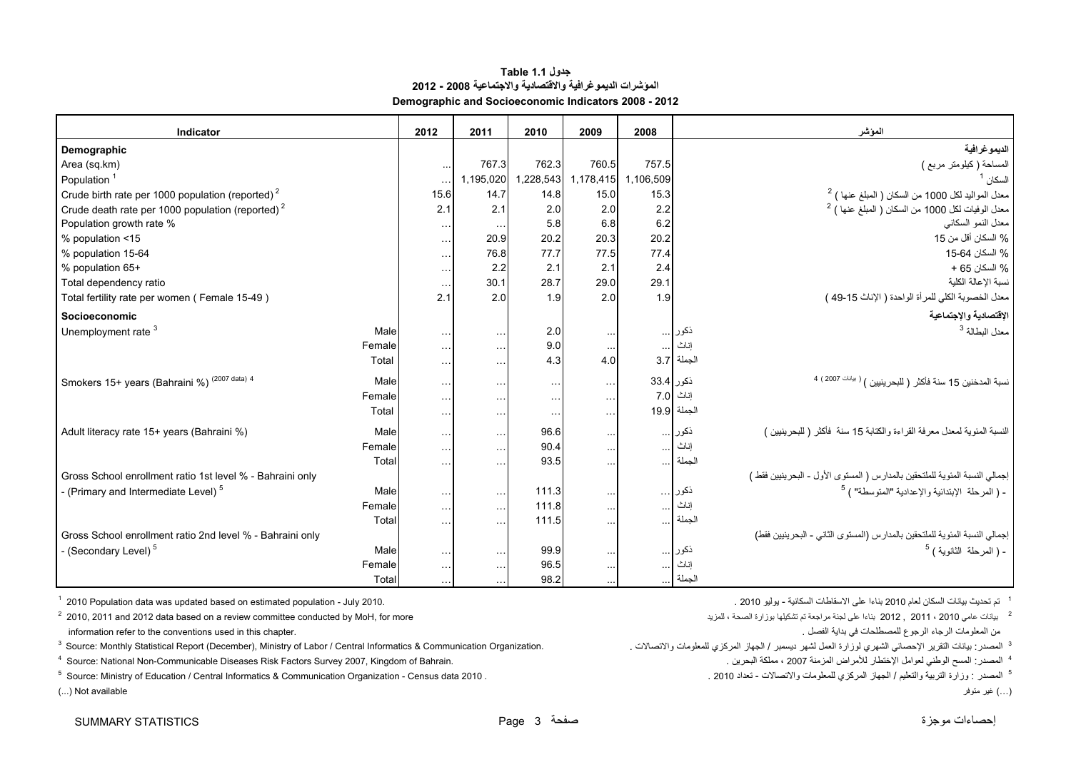#### **جدول 1.1 Table المؤشرات الديموغرافية واالقتصادية واالجتماعية 2008 - 2012 Demographic and Socioeconomic Indicators 2008 - 2012**

<span id="page-3-0"></span>

| Indicator                                                    | 2012          | 2011                                  | 2010                 | 2009                 | 2008          |             | المؤشر                                                                                                                        |
|--------------------------------------------------------------|---------------|---------------------------------------|----------------------|----------------------|---------------|-------------|-------------------------------------------------------------------------------------------------------------------------------|
| Demographic                                                  |               |                                       |                      |                      |               |             | الديموغرافية                                                                                                                  |
| Area (sq.km)                                                 |               | 767.3<br>$\ddotsc$                    | 762.3                | 760.5                | 757.5         |             | المساحة (كيلومتر مربع )                                                                                                       |
| Population <sup>1</sup>                                      | $\ddotsc$     | 1,195,020                             | 1,228,543            | 1,178,415            | 1,106,509     |             | السكان <sup>1</sup>                                                                                                           |
| Crude birth rate per 1000 population (reported) $2$          | 15.6          | 14.7                                  | 14.8                 | 15.0                 | 15.3          |             |                                                                                                                               |
| Crude death rate per 1000 population (reported) <sup>2</sup> | 2.1           | 2.1                                   | 2.0                  | 2.0                  | 2.2           |             | معدل المواليد لكل 1000 من السكان ( المبلغ عنها ) <sup>2</sup><br>معدل الوفيات لكل 1000 من السكان ( المبلغ عنها ) <sup>2</sup> |
| Population growth rate %                                     |               | $\sim$ $\sim$ $\sim$<br>$\sim$ $\sim$ | 5.8                  | 6.8                  | 6.2           |             | معدل النمو السكاني                                                                                                            |
| % population <15                                             |               | 20.9<br>$\sim$ $\sim$ $\sim$          | 20.2                 | 20.3                 | 20.2          |             | % السكان أقل من 15                                                                                                            |
| % population 15-64                                           |               | 76.8<br>$\sim$ $\sim$ $\sim$          | 77.7                 | 77.5                 | 77.4          |             | % السكان 64-15                                                                                                                |
| % population 65+                                             |               | 2.2<br>$\sim$ $\sim$ $\sim$           | 2.1                  | 2.1                  | 2.4           |             | % السكان 65 +                                                                                                                 |
| Total dependency ratio                                       | $\sim$ $\sim$ | 30.1                                  | 28.7                 | 29.0                 | 29.1          |             | نسبة الإعالة الكلية                                                                                                           |
| Total fertility rate per women (Female 15-49)                | 2.1           | 2.0                                   | 1.9                  | 2.0                  | 1.9           |             | معدل الخصوبة الكلي للمرأة الواحدة ( الإناث 15-49 )                                                                            |
| Socioeconomic                                                |               |                                       |                      |                      |               |             | الإقتصادية والإجتماعية                                                                                                        |
| Unemployment rate $3$                                        | Male          | $\sim$ $\sim$ $\sim$<br>$\sim$ $\sim$ | 2.0                  | $\sim$ $\sim$ $\sim$ |               | ذكور        | معدل البطالة <sup>3</sup>                                                                                                     |
|                                                              | Female        | $\sim$ $\sim$<br>$\sim$               | 9.0                  | $\sim$               | $\cdots$      | إناث        |                                                                                                                               |
|                                                              | Total         | $\sim$ $\sim$ $\sim$<br>$\ddotsc$     | 4.3                  | 4.0                  |               | الجملة 3.7  |                                                                                                                               |
| Smokers 15+ years (Bahraini %) (2007 data) 4                 | Male          | $\sim$ $\sim$ $\sim$<br>$\ddotsc$     | $\sim$ $\sim$ $\sim$ | $\cdots$             | ذكور 33.4     |             | نسبة المدخنين 15 سنة فأكثر ( للبحرينيين ) <sup>( بيانات</sup> 2007 ) <sup>4</sup>                                             |
|                                                              | Female        | $\cdots$<br>$\sim$ $\sim$             | $\sim$ $\sim$ $\sim$ | $\sim$ $\sim$ $\sim$ | 7.0           | إناث        |                                                                                                                               |
|                                                              | Total         | $\sim$ $\sim$ $\sim$<br>$\sim$ $\sim$ | $\sim$ $\sim$ $\sim$ | $\sim$ $\sim$ $\sim$ |               | الجملة 19.9 |                                                                                                                               |
| Adult literacy rate 15+ years (Bahraini %)                   | Male          | $\sim$ $\sim$<br>$\sim$ $\sim$        | 96.6                 | $\sim$ $\sim$ $\sim$ |               | ذكور        | النسبة المئوية لمعدل معرفة القراءة والكتابة 15 سنة ۖ فأكثر ( للبحرينيين )                                                     |
|                                                              | Female        | $\cdots$<br>$\sim$ $\sim$             | 90.4                 | $\sim$ $\sim$        | $\cdots$      | إناث        |                                                                                                                               |
|                                                              | Total         | $\sim$ $\sim$ $\sim$<br>$\sim$ $\sim$ | 93.5                 | $\sim$ $\sim$ $\sim$ |               | الجملة      |                                                                                                                               |
| Gross School enrollment ratio 1st level % - Bahraini only    |               |                                       |                      |                      |               |             | إجمالي النسبة المئوية للملتحقين بالمدارس ( المستوى الأول - البحرينيين فقط )                                                   |
| - (Primary and Intermediate Level) <sup>5</sup>              | Male          | $\sim$ $\sim$<br>$\ddotsc$            | 111.3                | $\sim$ $\sim$        | $\cdots$      | ذكور        | - ( المرحلة الإبتدائية والإعدادية "المتوسطة" ) <sup>5</sup>                                                                   |
|                                                              | Female        | $\cdots$<br>$\ddotsc$                 | 111.8                | $\sim$               | $\cdots$      | إناث        |                                                                                                                               |
|                                                              | Total         | $\sim$ $\sim$ $\sim$<br>$\ddotsc$     | 111.5                |                      |               | الجملة      |                                                                                                                               |
| Gross School enrollment ratio 2nd level % - Bahraini only    |               |                                       |                      |                      |               |             | إجمالي النسبة المئوية للملتحقين بالمدارس (المستوى الثاني - البحرينيين فقط)                                                    |
| - (Secondary Level) <sup>5</sup>                             | Male          | $\sim$ $\sim$ $\sim$<br>$\sim$ $\sim$ | 99.9                 | $\sim$ $\sim$ $\sim$ | $\sim$ $\sim$ | ذكور        | - ( المرحلة الثانوية ) <sup>5</sup>                                                                                           |
|                                                              | Female        | $\cdots$<br>$\sim$ $\sim$             | 96.5                 |                      |               | إناث        |                                                                                                                               |
|                                                              | Total         |                                       | 98.2                 |                      |               | الجملة      |                                                                                                                               |

 $1$  2010 Population data was updated based on estimated population - July 2010.

<sup>3</sup> Source: Monthly Statistical Report (December), Ministry of Labor / Central Informatics & Communication Organization.

4 Source: National Non-Communicable Diseases Risk Factors Survey 2007, Kingdom of Bahrain. . البحرين مملكة ، <sup>2007</sup> المزمنة لألمراض اإلختطار لعوامل الوطني المسح :المصدر <sup>4</sup>

5 الصدر : وزارة التربية والتعليم / الجهاز المركزي للمعلومات والاتصالات - تعداد 2010 . . . . 2010 Source: Ministry of Education / Central Informatics & Communication Organization - Census data 2010 .

(...) غير متوفر available Not) ...(

1 -<br>1 - تم تحديث بيانات السكان لعام 2010 بناءا على الإسقاطات السكانية - بوليو 2010

 $^2$  2012 . 2012 بيانات عامي 2010 باعام على لجنة مراجعة لم تشكيلها بوزارة الصحة ، للمزيد ، الصحة بالمغرية الصحة بالمغرية الصحة بالمغرية الصحة بالصرية الصحة بالمغرية الصحة بالمغرية الصحة بالمغرية من من من عامي المغرية الص ان المعلومات الرجوع المصطلحات في بداية الفصل .<br>ناسعلومات الرجوع المصطلحات في بداية الفصل .

<sup>3</sup> المصدر : بيانات التقرير الإحصائ*ي*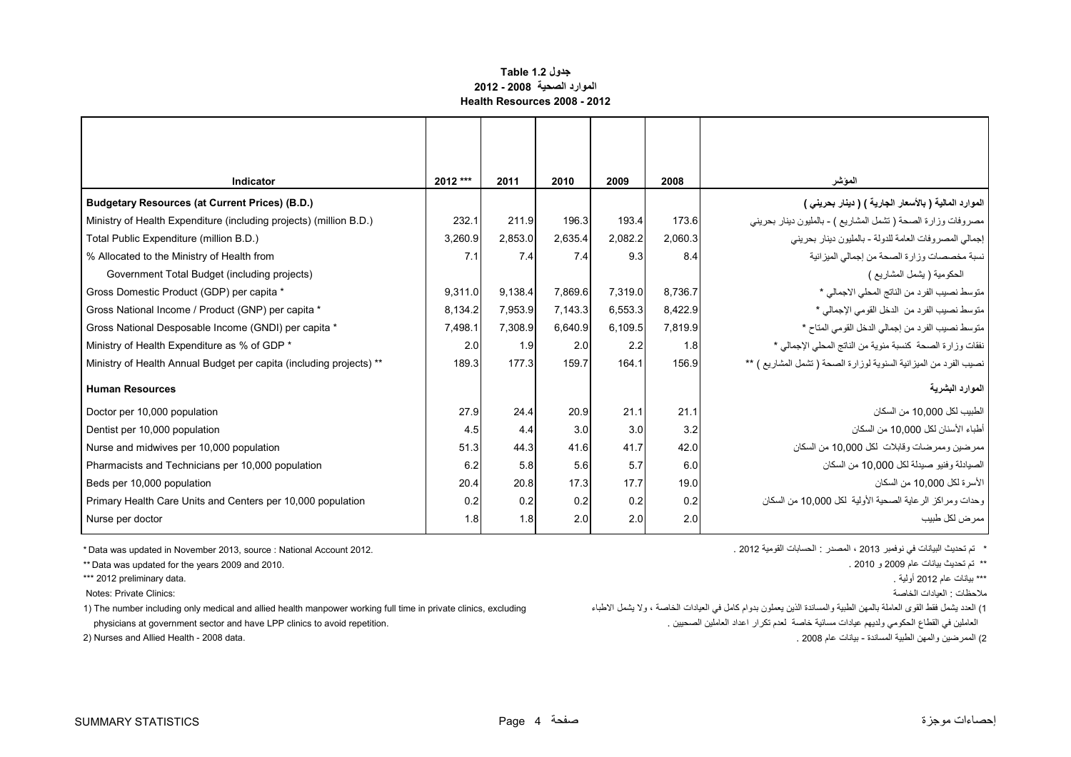#### **جدول 1.2 Table الموارد الصحية 2008 - 2012 Health Resources 2008 - 2012**

<span id="page-4-0"></span>

| Indicator                                                           | 2012 *** | 2011    | 2010    | 2009    | 2008    | المؤشر                                                            |
|---------------------------------------------------------------------|----------|---------|---------|---------|---------|-------------------------------------------------------------------|
| <b>Budgetary Resources (at Current Prices) (B.D.)</b>               |          |         |         |         |         | الموارد المالية ( بالأسعار الجارية ) ( دينار بحريني )             |
| Ministry of Health Expenditure (including projects) (million B.D.)  | 232.1    | 211.9   | 196.3   | 193.4   | 173.6   | مصروفات وزارة الصحة (تشمل المشاريع ) - بالمليون دينار بحريني      |
| Total Public Expenditure (million B.D.)                             | 3,260.9  | 2,853.0 | 2,635.4 | 2.082.2 | 2,060.3 | إجمالي المصروفات العامة للدولة - بالمليون دينار بحريني            |
| % Allocated to the Ministry of Health from                          | 7.1      | 7.4     | 7.4     | 9.3     | 8.4     | نسبة مخصصات وزارة الصحة من إجمالي الميزانية                       |
| Government Total Budget (including projects)                        |          |         |         |         |         | الحكومية ( يشمل المشاريع )                                        |
| Gross Domestic Product (GDP) per capita *                           | 9.311.0  | 9,138.4 | 7,869.6 | 7,319.0 | 8,736.7 | متوسط نصيب الفرد من الناتج المحلي الاجمالي *                      |
| Gross National Income / Product (GNP) per capita *                  | 8,134.2  | 7,953.9 | 7,143.3 | 6,553.3 | 8,422.9 | متوسط نصيب الفرد من الدخل القومي الإجمالي *                       |
| Gross National Desposable Income (GNDI) per capita *                | 7,498.1  | 7,308.9 | 6,640.9 | 6,109.5 | 7,819.9 | متوسط نصيب الفرد من إجمالي الدخل القومي المتاح *                  |
| Ministry of Health Expenditure as % of GDP *                        | 2.0      | 1.9     | 2.0     | 2.2     | 1.8     | نفقات وزارة الصحة كنسبة مئوية من الناتج المحلي الإجمالي *         |
| Ministry of Health Annual Budget per capita (including projects) ** | 189.3    | 177.3   | 159.7   | 164.1   | 156.9   | نصيب الفرد من الميزانية السنوية لوزارة الصحة ( تشمل المشاريع ) ** |
| <b>Human Resources</b>                                              |          |         |         |         |         | الموارد البشرية                                                   |
| Doctor per 10,000 population                                        | 27.9     | 24.4    | 20.9    | 21.1    | 21.1    | الطبيب لكل 10,000 من السكان                                       |
| Dentist per 10,000 population                                       | 4.5      | 4.4     | 3.0     | 3.0     | 3.2     | أطباء الأسنان لكل 10.000 من السكان                                |
| Nurse and midwives per 10,000 population                            | 51.3     | 44.3    | 41.6    | 41.7    | 42.0    | ممرضين وممرضات وقابلات لكل 10,000 من السكان                       |
| Pharmacists and Technicians per 10,000 population                   | 6.2      | 5.8     | 5.6     | 5.7     | 6.0     | الصيادلة وفنيو صيدلة لكل 10,000 من السكان                         |
| Beds per 10,000 population                                          | 20.4     | 20.8    | 17.3    | 17.7    | 19.0    | الأسر ة لكل 10.000 من السكان                                      |
| Primary Health Care Units and Centers per 10,000 population         | 0.2      | 0.2     | 0.2     | 0.2     | 0.2     | وحدات ومراكز الرعاية الصحية الأولية لكل 10,000 من السكان          |
| Nurse per doctor                                                    | 1.8      | 1.8     | 2.0     | 2.0     | 2.0     | ممر ض لكل طبيب                                                    |

 $*$  Data was updated in November 2013, source : National Account 2012.

\*\* Data was updated for the years 2009 and 2010. . 2010 <sup>و</sup> <sup>2009</sup> عام بيانات تحديث تم\*\*

\*\*\* 2012 preliminary data.

ملاحظات : العيادات الخاصة : `` العيادات الخاصة : `` ملاحظات : العيادات الخاصة : `` ملاحظات : العيادات الخاصة :

1) للعدد يشمل فقط القوى العاملة بالمهن الطبنية واللعادنة الفيل العامل العامل العامل المساح العامل المعامل المرابا والعاملة ، ولا يشمل الأطباء من الإطباء الخاصة ، ولا يشمل الأطباء صلح العاملة من الإطباع العاملة ، ولا يشمل

\* تم تحديث البيانات في نوفمبر 2013 ، المصدر : الحسابات القومية 2012 .

\*\*\* بيانات عام 2012 أولية .

العاملين في القطاع الحكومي ولديھم عيادات مسائية خاصة لعدم تكرار اعداد العاملين الصحيين . .repetition avoid to clinics LPP have and sector government at physicians

2) الممرضين والمهن الطبية المساندة - بيانات عام 2008 .<br>2) الممرضين والمهن الطبية المساندة - بيانات عام 2008 .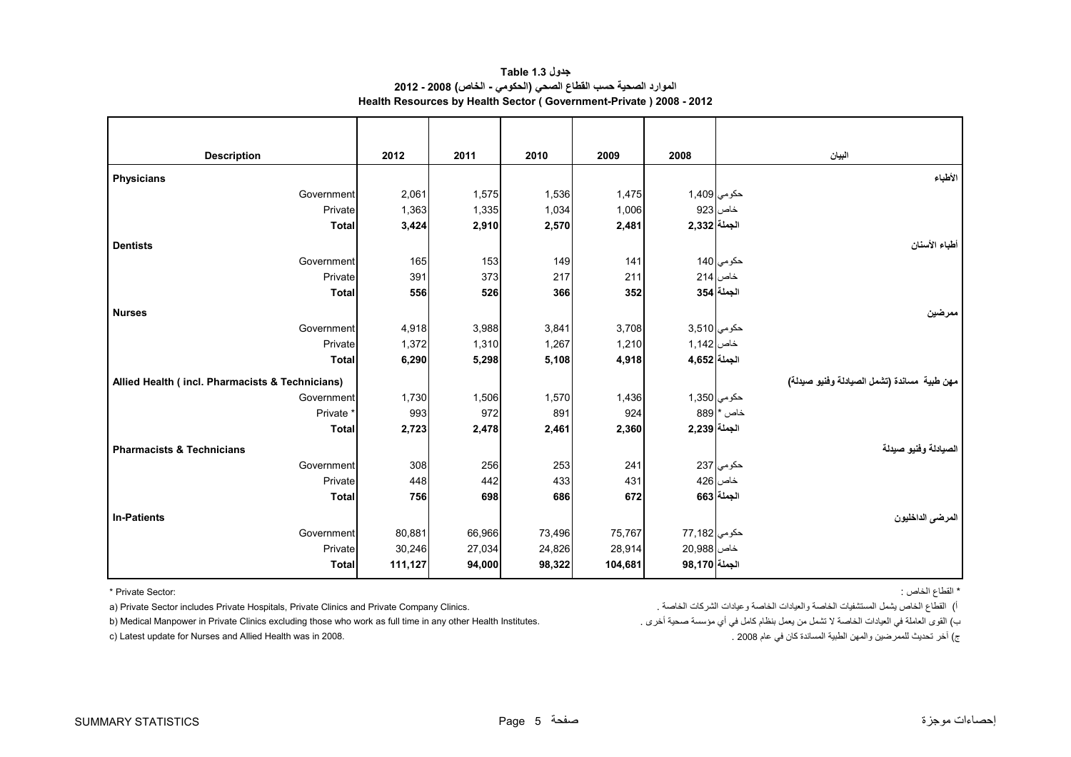| جدول Table 1.3                                                     |  |
|--------------------------------------------------------------------|--|
| الموارد الصحية حسب القطاع الصحي (الحكومي - الخاص) 2008 - 2012      |  |
| Health Resources by Health Sector (Government-Private) 2008 - 2012 |  |

<span id="page-5-0"></span>

| <b>Description</b>                              | 2012    | 2011   | 2010   | 2009    | 2008           | البيان                                       |
|-------------------------------------------------|---------|--------|--------|---------|----------------|----------------------------------------------|
| <b>Physicians</b>                               |         |        |        |         |                | الأطباء                                      |
| Government                                      | 2,061   | 1,575  | 1,536  | 1,475   |                | حكومي 1,409                                  |
| Private                                         | 1,363   | 1,335  | 1,034  | 1,006   |                | خاص 923                                      |
| <b>Total</b>                                    | 3,424   | 2,910  | 2,570  | 2,481   | الجملة 2,332   |                                              |
| <b>Dentists</b>                                 |         |        |        |         |                | أطباء الأسنان                                |
| Government                                      | 165     | 153    | 149    | 141     |                | حکوم <i>ي</i> 140                            |
| Private                                         | 391     | 373    | 217    | 211     |                | خاص 214                                      |
| <b>Total</b>                                    | 556     | 526    | 366    | 352     |                | الجملة 354                                   |
| <b>Nurses</b>                                   |         |        |        |         |                | ممرضين                                       |
| Government                                      | 4,918   | 3,988  | 3,841  | 3,708   |                | حكومي 3,510                                  |
| Private                                         | 1,372   | 1,310  | 1,267  | 1,210   | خاص 1,142      |                                              |
| <b>Total</b>                                    | 6,290   | 5,298  | 5,108  | 4,918   | الجملة 4,652   |                                              |
| Allied Health (incl. Pharmacists & Technicians) |         |        |        |         |                | مهن طبية  مساندة (تشمل الصيادلة وفنيو صيدلة) |
| Government                                      | 1,730   | 1,506  | 1,570  | 1,436   |                | حكومي 1,350                                  |
| Private <sup>*</sup>                            | 993     | 972    | 891    | 924     |                | $889$ * خاص                                  |
| <b>Total</b>                                    | 2,723   | 2,478  | 2,461  | 2,360   | الجملة 2,239   |                                              |
| <b>Pharmacists &amp; Technicians</b>            |         |        |        |         |                | الصيادلة وفنيو صيدلة                         |
| Government                                      | 308     | 256    | 253    | 241     |                | حكومي 237                                    |
| Private                                         | 448     | 442    | 433    | 431     |                | خاص 426                                      |
| <b>Total</b>                                    | 756     | 698    | 686    | 672     |                | الجملة 663                                   |
| <b>In-Patients</b>                              |         |        |        |         |                | المرضى الداخليون                             |
| Government                                      | 80,881  | 66,966 | 73,496 | 75,767  | حكومي   77,182 |                                              |
| Private                                         | 30,246  | 27,034 | 24,826 | 28,914  | خاص 20,988     |                                              |
| <b>Total</b>                                    | 111,127 | 94,000 | 98,322 | 104,681 | الجملة 98,170  |                                              |

a) Private Sector includes Private Hospitals, Private Clinics and Private Company Clinics. القطاع الخاص يشمل المستشفيات الخاصة وعيادات الشركات الخاصة والعيادات الشركات الخاصة والعيادات الشركات الخاصة المستشفيات الخاصة وعي

b) Medical Manpower in Private Clinics excluding those who work as full time in any other Health Institutes.

\* القطاع الخاص : :Sector Private\*

ب

ج) آخر تحديث للممرضين والمهن الطبية المساندة كان في عام 2008 . 2008 . 2008 . 2008 . 2008 . 2008 . والمهن الطبية المساندة كان في عام 2008 .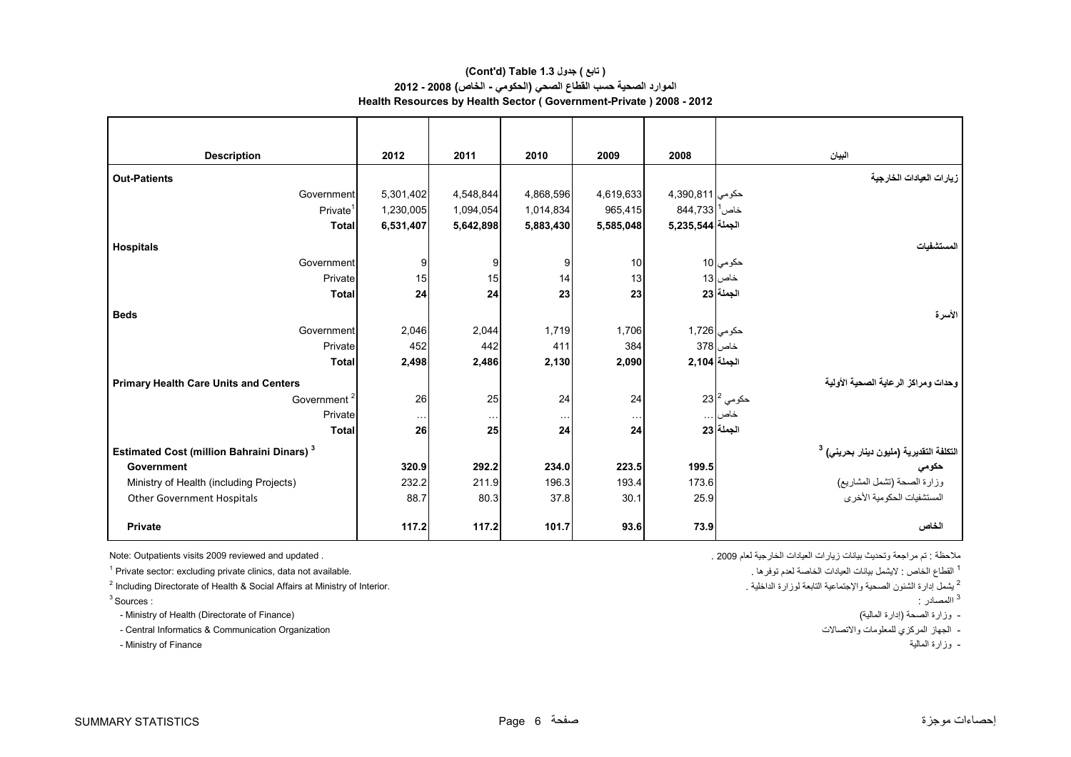#### **Health Resources by Health Sector ( Government-Private ) 2008 - 2012 (Cont'd) Table 1.3 جدول ) تابع( الموارد الصحية حسب القطاع الصحي (الحكومي - الخاص) 2008 - 2012**

| <b>Description</b>                                           | 2012      | 2011      | 2010      | 2009            | 2008                       | البيان                                                       |
|--------------------------------------------------------------|-----------|-----------|-----------|-----------------|----------------------------|--------------------------------------------------------------|
| <b>Out-Patients</b>                                          |           |           |           |                 |                            | زيارات العيادات الخارجية                                     |
| Government                                                   | 5,301,402 | 4,548,844 | 4,868,596 | 4,619,633       | حكومى 811,390,811          |                                                              |
| Private <sup>1</sup>                                         | 1,230,005 | 1,094,054 | 1,014,834 | 965.415         | $844,733$ خاص <sup>1</sup> |                                                              |
| <b>Total</b>                                                 | 6,531,407 | 5,642,898 | 5,883,430 | 5,585,048       | الجملة 3,235,544           |                                                              |
| <b>Hospitals</b>                                             |           |           |           |                 |                            | المستشفيات                                                   |
| Government                                                   | 9         | 9         | 9         | 10 <sup>1</sup> |                            | حک <i>و</i> مي 10                                            |
| Private                                                      | 15        | 15        | 14        | 13              |                            | خاص 13                                                       |
| <b>Total</b>                                                 | 24        | 24        | 23        | 23              |                            | الجملة 23                                                    |
| <b>Beds</b>                                                  |           |           |           |                 |                            | الأسرة                                                       |
| Government                                                   | 2,046     | 2,044     | 1,719     | 1.706           | حكومي 1,726                |                                                              |
| Private                                                      | 452       | 442       | 411       | 384             |                            | خاص 378                                                      |
| Total                                                        | 2,498     | 2,486     | 2,130     | 2,090           | الجملة 2,104               |                                                              |
| <b>Primary Health Care Units and Centers</b>                 |           |           |           |                 |                            | وحدات ومراكز الرعاية الصحية الأولية                          |
| Government <sup>2</sup>                                      | 26        | 25        | 24        | 24              |                            | 23 $ ^{2}$ حكومي 23                                          |
| Private                                                      | $\cdots$  | $\cdots$  | $\cdots$  | $\ldots$        |                            | خاص                                                          |
| <b>Total</b>                                                 | 26        | 25        | 24        | 24              |                            | الجملة 23                                                    |
| <b>Estimated Cost (million Bahraini Dinars)</b> <sup>3</sup> |           |           |           |                 |                            | التكلفة التقديرية (مليون دينار بحرين <i>ي</i> ) <sup>3</sup> |
| Government                                                   | 320.9     | 292.2     | 234.0     | 223.5           | 199.5                      | حكومي                                                        |
| Ministry of Health (including Projects)                      | 232.2     | 211.9     | 196.3     | 193.4           | 173.6                      | وزارة الصحة (تشمل المشاريع)                                  |
| <b>Other Government Hospitals</b>                            | 88.7      | 80.3      | 37.8      | 30.1            | 25.9                       | المستشفيات الحكومية الأخرى                                   |
| <b>Private</b>                                               | 117.2     | 117.2     | 101.7     | 93.6            | 73.9                       | الخاص                                                        |

ا القطاع الخاص : لايشمل بيانات العيادات الخاصة لعدم توفرها . .<br><sup>2</sup> يشمل إدار ة الشنون الصحية والاجتماعية الثابعة لموزار ة الداخلية . المسحية والاجتماعية الثابعة لموزار الداخلية . .<br><sup>2</sup> يشمل إدار ة الشنون الصحية والاجتماعي <sup>2</sup> Including Directorate of Health & Social Affairs at Ministry of Interior.

االمصادر : : Sources 3

- Ministry of Health (Directorate of Finance) (المالية إدارة (الصحة وزارة -

- الجھاز المركزي للمعلومات واالتصاالت Organization Communication & Informatics Central -

- Ministry of Finance المالية وزارة -

ملاحظة : تم مراجعة وتحديث بيانات زيار ات العيادات الخارجية لعام 2009 . .<br>ملاحظة : تم مراجعة وتحديث بيانات زيار ات العيادات الخارجية لعام 2009 . .

<sup>1</sup> القطاع الخاص : لايشمل بيانات العيادات الخاصة لعدم توفر ها .

<sup>3</sup> االمصادر :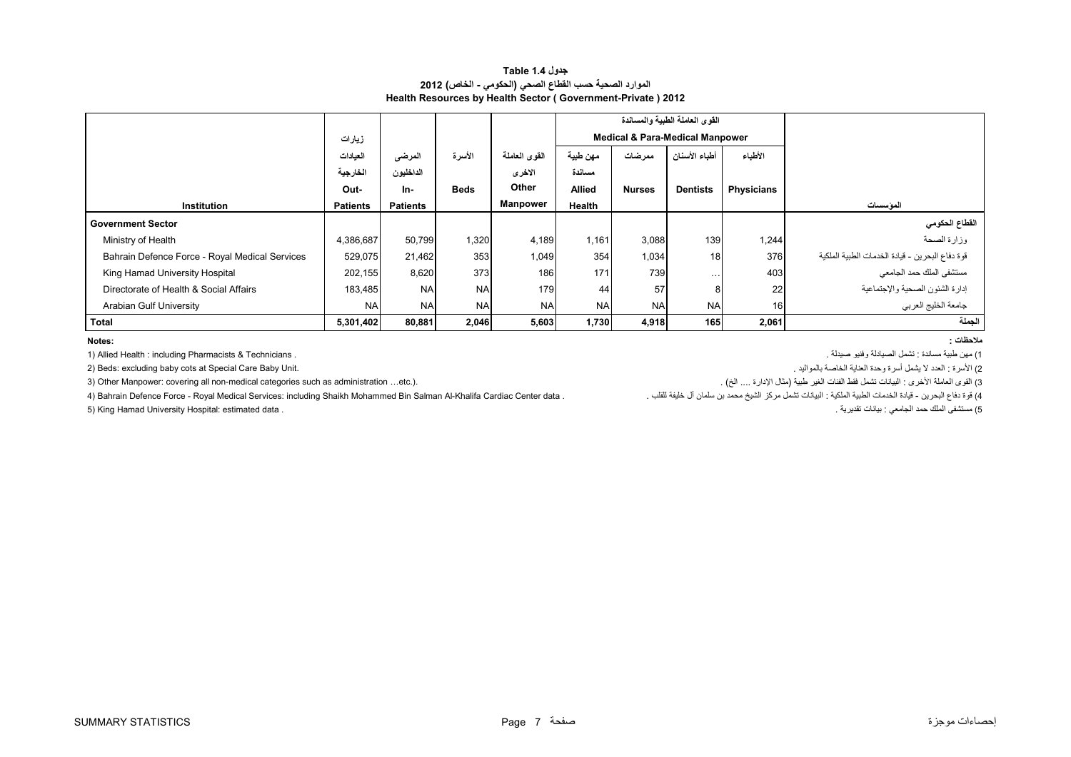#### **جدول 1.4 Table الموارد الصحية حسب القطاع الصحي (الحكومي - الخاص) 2012 Health Resources by Health Sector ( Government-Private ) 2012**

<span id="page-7-0"></span>

|                                                |                 |                 |             |                 |                                            |               | القوى العاملة الطبية والمساندة |                   |                                                 |
|------------------------------------------------|-----------------|-----------------|-------------|-----------------|--------------------------------------------|---------------|--------------------------------|-------------------|-------------------------------------------------|
|                                                | زيارات          |                 |             |                 | <b>Medical &amp; Para-Medical Manpower</b> |               |                                |                   |                                                 |
|                                                | العيادات        | المرضى          | الأسرة      | القوى العاملة   | مهن طبية                                   | ممرضات        | أطباء الأسنان                  | الأطباء           |                                                 |
|                                                | الخارجية        | الداخليون       |             | الاخرى          | مساندة                                     |               |                                |                   |                                                 |
|                                                | Out-            | In-             | <b>Beds</b> | Other           | <b>Allied</b>                              | <b>Nurses</b> | <b>Dentists</b>                | <b>Physicians</b> |                                                 |
| <b>Institution</b>                             | <b>Patients</b> | <b>Patients</b> |             | <b>Manpower</b> | Health                                     |               |                                |                   | المو سسبات                                      |
| <b>Government Sector</b>                       |                 |                 |             |                 |                                            |               |                                |                   | القطاع الحكومي                                  |
| Ministry of Health                             | 4,386,687       | 50,799          | 1,320       | 4,189           | 1,161                                      | 3,088         | 139                            | 1,244             | وزارة الصحة                                     |
| Bahrain Defence Force - Royal Medical Services | 529,075         | 21,462          | 353         | 1,049           | 354                                        | 1,034         | 18                             | 376               | قوة دفاع البحرين - قيادة الخدمات الطبية الملكية |
| King Hamad University Hospital                 | 202,155         | 8,620           | 373         | 186             | 171                                        | 739           | $\cdots$                       | 403               | مستشفى الملك حمد الجامعي                        |
| Directorate of Health & Social Affairs         | 183,485         | <b>NA</b>       | <b>NA</b>   | 179             | 44                                         | 57            | 8                              | 22                | إدارة الشئون الصحية والإجتماعية                 |
| Arabian Gulf University                        | <b>NA</b>       | <b>NA</b>       | <b>NA</b>   | <b>NA</b>       | <b>NA</b>                                  | <b>NA</b>     | <b>NA</b>                      | 16 <sub>1</sub>   | جامعة الخليج العربي                             |
| Total                                          | 5,301,402       | 80,881          | 2,046       | 5,603           | 1,730                                      | 4,918         | 165                            | 2,061             | الجملة                                          |

**:Notes**

1) مھن طبية مساندة : تشمل الصيادلة وفنيو صيدلة . . Technicians & Pharmacists including : Health Allied) 1

2) الأسرة : العدد لا يشمل أسرة وحدة العناية الخاصة بالمواليد .<br>2) الأسرة : العدد الا يشمل أسرة وحدة العناية الخاصة بالمواليد .

3) القوى العاملة الأخرى : البيانات تشمل فقط الفئات الغير طبية (مثال الإدارة .... الخ) . ... الخ) . (3) Other Manpower: covering all non-medical categories such as administration ..etc.)

4) قوة دفاع البحرين - قيادة الخدمات الطبية الملكية : البيانات تشمل مركز الشيخ محمد بن سلمان آل خليفة للقلب . \_ Bahrain Defence Force - Royal Medical Services: including Shaikh Mohammed Bin Salman Al-Khalifa Cardiac Center

5) مستشفى الملك حمد الجامعي : بيانات تقديرية . . data estimated :Hospital University Hamad King) 5

**مالحظات :**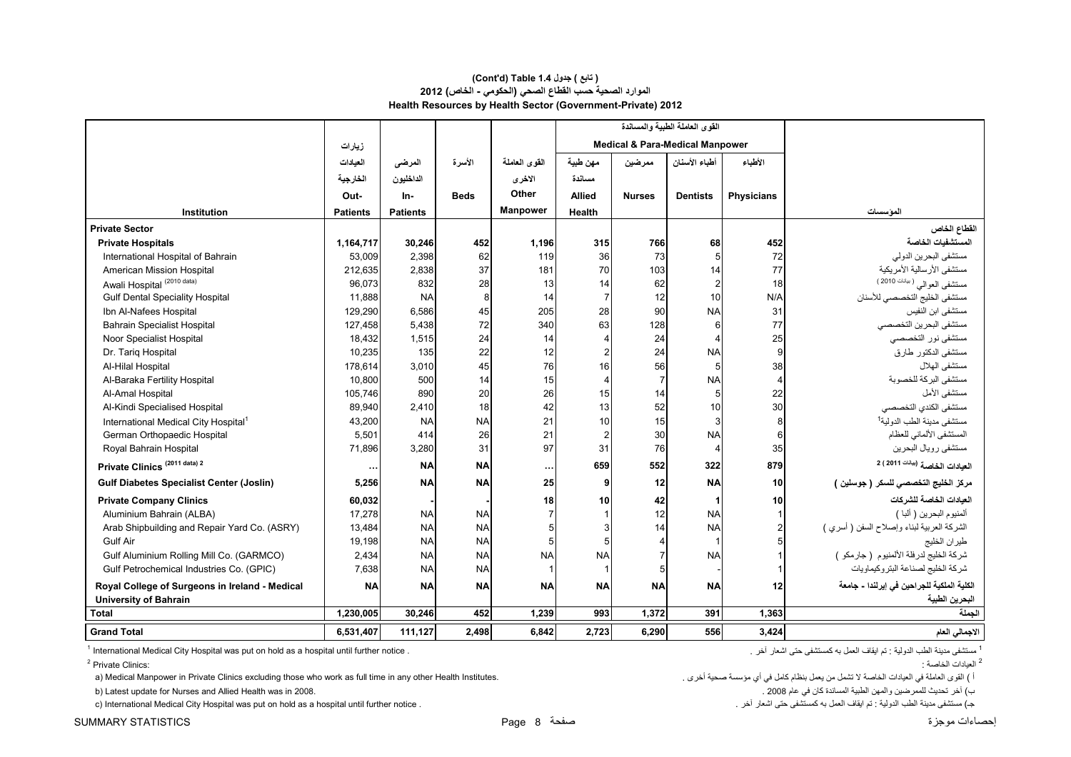#### **Health Resources by Health Sector (Government-Private) 2012 (Cont'd) Table 1.4 جدول ) تابع( الموارد الصحية حسب القطاع الصحي (الحكومي - الخاص) 2012**

|                                                  |                 |                 |             |               |               |                | القوى العاملة الطبية والمساندة             |                   |                                             |
|--------------------------------------------------|-----------------|-----------------|-------------|---------------|---------------|----------------|--------------------------------------------|-------------------|---------------------------------------------|
|                                                  | زيارات          |                 |             |               |               |                | <b>Medical &amp; Para-Medical Manpower</b> |                   |                                             |
|                                                  | العيادات        | المرضى          | الأسرة      | القوى العاملة | مهن طبية      | ممرضين         | أطباء الأسنان                              | الأطباء           |                                             |
|                                                  | الخارجية        | الداخليون       |             | الاخرى        | مسائدة        |                |                                            |                   |                                             |
|                                                  | Out-            | In-             | <b>Beds</b> | Other         | <b>Allied</b> | <b>Nurses</b>  | <b>Dentists</b>                            | <b>Physicians</b> |                                             |
| Institution                                      | <b>Patients</b> | <b>Patients</b> |             | Manpower      | <b>Health</b> |                |                                            |                   | المؤسسات                                    |
| <b>Private Sector</b>                            |                 |                 |             |               |               |                |                                            |                   | القطاع الخاص                                |
| <b>Private Hospitals</b>                         | 1,164,717       | 30,246          | 452         | 1,196         | 315           | 766            | 68                                         | 452               | المستشفيات الخاصة                           |
| International Hospital of Bahrain                | 53,009          | 2,398           | 62          | 119           | 36            | 73             | 5                                          | 72                | مستشفى البحرين الدولي                       |
| American Mission Hospital                        | 212,635         | 2,838           | 37          | 181           | 70            | 103            | 14                                         | 77                | مستشفى الأرسالية الأمريكية                  |
| Awali Hospital <sup>(2010 data)</sup>            | 96,073          | 832             | 28          | 13            | 14            | 62             | $\overline{c}$                             | 18                | مستشفى العوالي (بيانات 2010)                |
| <b>Gulf Dental Speciality Hospital</b>           | 11,888          | <b>NA</b>       | 8           | 14            |               | 12             | 10                                         | N/A               | مستشفى الخليج التخصصي للأسنان               |
| Ibn Al-Nafees Hospital                           | 129,290         | 6,586           | 45          | 205           | 28            | 90             | <b>NA</b>                                  | 31                | مستشفى ابن النفيس                           |
| <b>Bahrain Specialist Hospital</b>               | 127,458         | 5,438           | 72          | 340           | 63            | 128            | 6                                          | 77                | مستشفى البحرين التخصصي                      |
| Noor Specialist Hospital                         | 18,432          | 1,515           | 24          | 14            |               | 24             | $\overline{4}$                             | 25                | مستشفى نور التخصصي                          |
| Dr. Tariq Hospital                               | 10,235          | 135             | 22          | 12            |               | 24             | <b>NA</b>                                  | 9                 | مستشفى الدكتور طارق                         |
| Al-Hilal Hospital                                | 178,614         | 3,010           | 45          | 76            | 16            | 56             | 5                                          | 38                | مستشفى الهلال                               |
| Al-Baraka Fertility Hospital                     | 10,800          | 500             | 14          | 15            |               | $\overline{7}$ | <b>NA</b>                                  | 4                 | مستشفى البركة للخصوبة                       |
| Al-Amal Hospital                                 | 105,746         | 890             | 20          | 26            | 15            | 14             | 5                                          | 22                | مستشفى الأمل                                |
| Al-Kindi Specialised Hospital                    | 89,940          | 2,410           | 18          | 42            | 13            | 52             | 10                                         | 30                | مستشفى الكندي التخصصىي                      |
| International Medical City Hospital <sup>1</sup> | 43,200          | <b>NA</b>       | <b>NA</b>   | 21            | 10            | 15             | 3                                          | 8                 | مستشفى مدينة الطب الدولية <sup>1</sup>      |
| German Orthopaedic Hospital                      | 5,501           | 414             | 26          | 21            |               | 30             | <b>NA</b>                                  | 6                 | المستشفى الألماني للعظام                    |
| Royal Bahrain Hospital                           | 71,896          | 3,280           | 31          | 97            | 31            | 76             | $\overline{4}$                             | 35                | مستشفى رويال البحرين                        |
| Private Clinics <sup>(2011 data) 2</sup>         | $\cdots$        | <b>NA</b>       | <b>NA</b>   |               | 659           | 552            | 322                                        | 879               | العيادات الخاصة (بب <sup>ينت</sup> 2011 ) 2 |
| <b>Gulf Diabetes Specialist Center (Joslin)</b>  | 5,256           | <b>NA</b>       | <b>NA</b>   | 25            | 9             | 12             | <b>NA</b>                                  | 10 <sup>1</sup>   | مركز الخليج التخصصي للسكر ( جوسلين )        |
| <b>Private Company Clinics</b>                   | 60,032          |                 |             | 18            | 10            | 42             | $\mathbf{1}$                               | 10                | العيادات الخاصة للشركات                     |
| Aluminium Bahrain (ALBA)                         | 17,278          | <b>NA</b>       | <b>NA</b>   |               |               | 12             | <b>NA</b>                                  |                   | ألمنيوم البحرين ( ألبا )                    |
| Arab Shipbuilding and Repair Yard Co. (ASRY)     | 13,484          | <b>NA</b>       | <b>NA</b>   |               |               | 14             | <b>NA</b>                                  |                   | الشركة العربية لبناء وإصلاح السفن ( أسري )  |
| <b>Gulf Air</b>                                  | 19,198          | <b>NA</b>       | <b>NA</b>   |               |               | 4              | $\mathbf{1}$                               |                   | طيران الخليج                                |
| Gulf Aluminium Rolling Mill Co. (GARMCO)         | 2,434           | <b>NA</b>       | <b>NA</b>   | <b>NA</b>     | <b>NA</b>     |                | <b>NA</b>                                  |                   | شركة الخليج لدرفلة الألمنيوم (جارمكو )      |
| Gulf Petrochemical Industries Co. (GPIC)         | 7,638           | <b>NA</b>       | <b>NA</b>   |               |               |                |                                            |                   | شركة الخليج لصناعة البتروكيماويات           |
| Royal College of Surgeons in Ireland - Medical   | <b>NA</b>       | <b>NA</b>       | <b>NA</b>   | <b>NA</b>     | <b>NA</b>     | <b>NA</b>      | <b>NA</b>                                  | 12                | الكلية الملكية للجراحين في إيرلندا - جامعة  |
| <b>University of Bahrain</b>                     |                 |                 |             |               |               |                |                                            |                   | البحرين الطبية                              |
| <b>Total</b>                                     | 1,230,005       | 30,246          | 452         | 1,239         | 993           | 1,372          | 391                                        | 1,363             | الجملة                                      |
| <b>Grand Total</b>                               | 6,531,407       | 111,127         | 2,498       | 6,842         | 2,723         | 6.290          | 556                                        | 3,424             | الاجمالي العام                              |

1 ـ ستشفى مدينة الطب الدولية : تم ايقاف العمل به كمستشفى حتى اشعار أخر .<br>1 International Medical City Hospital was put on hold as a hospital until further notice .

العيادات الخاصة : :Clinics Private 2

a) Medical Manpower in Private Clinics excluding those who work as full time in any other Health Institutes. . أخرى صحية مؤسسة أي في كامل بنظام يعمل من تشمل ال الخاصة العيادات في العاملة القوى ) <sup>أ</sup>

ب) آخر تحديث للمرضين والمهن الطبية المساندة كان في عام 2008 .<br>ج) مستشفى مدينة الطب الدرلية : ثم ايقاف العمل به كمستشفى حتى اشعار أخر .<br>ج) مستشفى مدينة الطب الدرلية : ثم ايقاف العمل به كمستشفى حتى اشعار أخر . استشفى مدينة c) International Medical City Hospital was put on hold as a hospital until further notice .

<sup>2</sup> العدادات الخاصية ·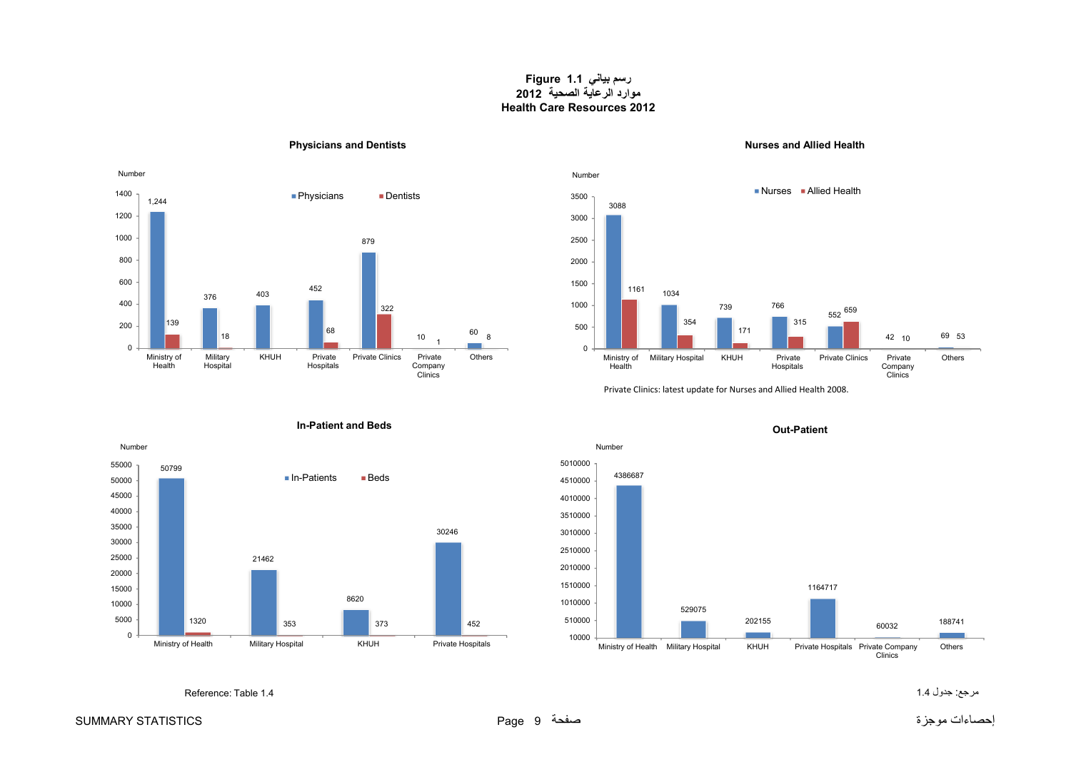**رسم بياني 1.1 Figure موارد الرعاية الصحية <sup>2012</sup> Health Care Resources 2012**

<span id="page-9-0"></span>

#### **Physicians and Dentists Nurses and Allied Health**



Private Clinics: latest update for Nurses and Allied Health 2008.



#### **In-Patient and Beds**



**Out-Patient**

Reference: Table 1.4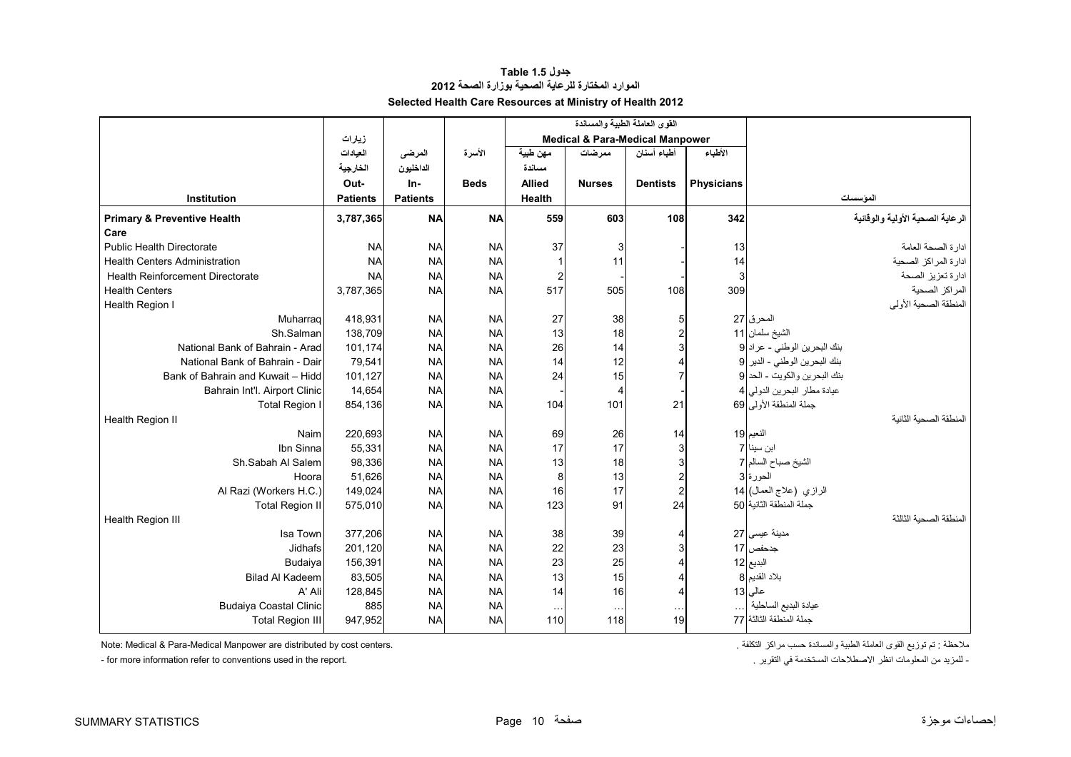#### **جدول 1.5 Table الموارد المختارة للرعاية الصحية بوزارة الصحة <sup>2012</sup> Selected Health Care Resources at Ministry of Health 2012**

<span id="page-10-0"></span>

|                                         |                 |                 |             |               | القوى العاملة الطبية والمساندة             |                 |                   |                                  |
|-----------------------------------------|-----------------|-----------------|-------------|---------------|--------------------------------------------|-----------------|-------------------|----------------------------------|
|                                         | زيارات          |                 |             |               | <b>Medical &amp; Para-Medical Manpower</b> |                 |                   |                                  |
|                                         | العيادات        | المرضى          | الأسرة      | مهن طبية      | ممر ضات                                    | أطباء أسنان     | الأطباء           |                                  |
|                                         | الخارجية        | الداخليون       |             | مسائدة        |                                            |                 |                   |                                  |
|                                         | Out-            | $In-$           | <b>Beds</b> | <b>Allied</b> | <b>Nurses</b>                              | <b>Dentists</b> | <b>Physicians</b> |                                  |
| <b>Institution</b>                      | <b>Patients</b> | <b>Patients</b> |             | Health        |                                            |                 |                   | الموسسات                         |
| <b>Primary &amp; Preventive Health</b>  | 3,787,365       | <b>NA</b>       | <b>NA</b>   | 559           | 603                                        | 108             | 342               | الرعاية الصحية الأولية والوقائية |
| Care                                    |                 |                 |             |               |                                            |                 |                   |                                  |
| <b>Public Health Directorate</b>        | <b>NA</b>       | <b>NA</b>       | <b>NA</b>   | 37            | 3                                          |                 | 13                | ادار ة الصحة العامة              |
| <b>Health Centers Administration</b>    | <b>NA</b>       | <b>NA</b>       | <b>NA</b>   |               | 11                                         |                 | 14                | ادارة المراكز الصحية             |
| <b>Health Reinforcement Directorate</b> | <b>NA</b>       | <b>NA</b>       | <b>NA</b>   | 2             |                                            |                 | 3                 | ادارة تعزيز الصحة                |
| <b>Health Centers</b>                   | 3,787,365       | <b>NA</b>       | <b>NA</b>   | 517           | 505                                        | 108             | 309               | المراكز الصحية                   |
| Health Region I                         |                 |                 |             |               |                                            |                 |                   | المنطقة الصحية الأولى            |
| Muharrag                                | 418,931         | <b>NA</b>       | <b>NA</b>   | 27            | 38                                         |                 |                   | المحرق 27                        |
| Sh.Salman                               | 138,709         | <b>NA</b>       | <b>NA</b>   | 13            | 18                                         |                 |                   | الشيخ سلمان 11                   |
| National Bank of Bahrain - Arad         | 101,174         | <b>NA</b>       | <b>NA</b>   | 26            | 14                                         |                 |                   | بنك البحرين الوطني - عراد 9      |
| National Bank of Bahrain - Dair         | 79,541          | <b>NA</b>       | <b>NA</b>   | 14            | 12                                         |                 |                   | بنك البحرين الوطني - الدير 9     |
| Bank of Bahrain and Kuwait - Hidd       | 101,127         | <b>NA</b>       | <b>NA</b>   | 24            | 15                                         |                 |                   | بنك البحرين والكويت - الحد 9     |
| Bahrain Int'l. Airport Clinic           | 14,654          | <b>NA</b>       | <b>NA</b>   |               | 4                                          |                 |                   | عيادة مطار البحرين الدولي 4      |
| <b>Total Region I</b>                   | 854,136         | <b>NA</b>       | <b>NA</b>   | 104           | 101                                        | 21              |                   | جملة المنطقة الأولى 69           |
| Health Region II                        |                 |                 |             |               |                                            |                 |                   | المنطقة الصحبة الثانبة           |
| Naim                                    | 220,693         | <b>NA</b>       | <b>NA</b>   | 69            | 26                                         | 14              |                   | النعيم 19                        |
| Ibn Sinna                               | 55,331          | <b>NA</b>       | <b>NA</b>   | 17            | 17                                         |                 |                   | ابن سينا 7                       |
| Sh.Sabah Al Salem                       | 98,336          | <b>NA</b>       | <b>NA</b>   | 13            | 18                                         |                 |                   | الشيخ صباح السالم 7              |
| Hoora                                   | 51,626          | <b>NA</b>       | <b>NA</b>   | 8             | 13                                         | 2               |                   | الحورة 3                         |
| Al Razi (Workers H.C.)                  | 149,024         | <b>NA</b>       | <b>NA</b>   | 16            | 17                                         |                 |                   | الرازي (علاج العمال) 14          |
| <b>Total Region II</b>                  | 575,010         | <b>NA</b>       | <b>NA</b>   | 123           | 91                                         | 24              |                   | جملة المنطقة الثانية 50          |
| Health Region III                       |                 |                 |             |               |                                            |                 |                   | المنطقة الصحبة الثالثة           |
| Isa Town                                | 377,206         | <b>NA</b>       | <b>NA</b>   | 38            | 39                                         |                 |                   | مدينة عيسى 27                    |
| Jidhafs                                 | 201,120         | <b>NA</b>       | <b>NA</b>   | 22            | 23                                         |                 |                   | جدحفص 17                         |
| Budaiya                                 | 156,391         | <b>NA</b>       | <b>NA</b>   | 23            | 25                                         |                 |                   | البديع 12                        |
| <b>Bilad Al Kadeem</b>                  | 83,505          | <b>NA</b>       | <b>NA</b>   | 13            | 15                                         |                 |                   | بلاد القديم 8                    |
| A' Ali                                  | 128,845         | <b>NA</b>       | <b>NA</b>   | 14            | 16                                         | 4               |                   | عالی 13                          |
| <b>Budaiya Coastal Clinic</b>           | 885             | <b>NA</b>       | <b>NA</b>   | $\sim$ $\sim$ | $\ddotsc$                                  | $\sim$          |                   | عيادة البديع الساحلية            |
| <b>Total Region III</b>                 | 947,952         | <b>NA</b>       | <b>NA</b>   | 110           | 118                                        | 19              |                   | جملة المنطقة الثالثة 77          |

- for more information refer to conventions used in the report. . التقرير في المستخدمة االصطالحات انظر المعلومات من للمزيد -

ملاحظة : تم توزيع القوى العاملة الطبية والمساندة حسب مراكز التكلفة .<br>.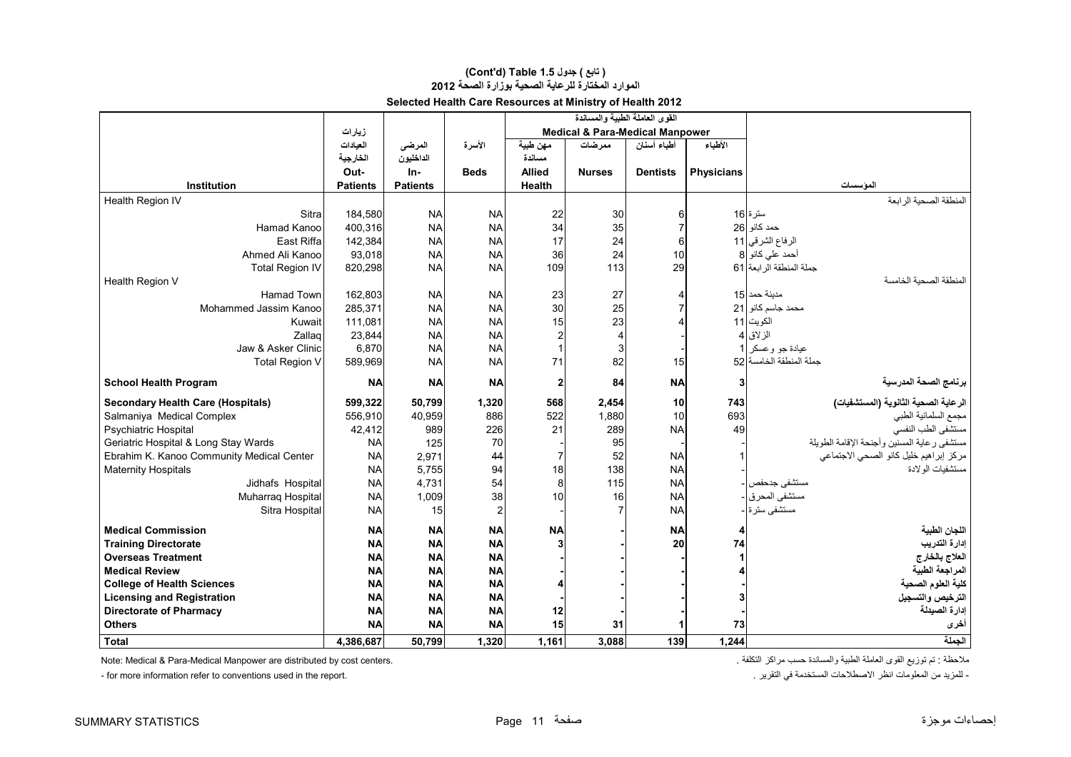# **(Cont'd) Table 1.5 جدول ) تابع( الموارد المختارة للرعاية الصحية بوزارة الصحة <sup>2012</sup>**

| Selected Health Care Resources at Ministry of Health 2012 |
|-----------------------------------------------------------|
|-----------------------------------------------------------|

|                                           |                 |                 |             |                | القوى العاملة الطبية والمساندة             |                 |                   |                                             |
|-------------------------------------------|-----------------|-----------------|-------------|----------------|--------------------------------------------|-----------------|-------------------|---------------------------------------------|
|                                           | زيارات          |                 |             |                | <b>Medical &amp; Para-Medical Manpower</b> |                 |                   |                                             |
|                                           | العادات         | المرضى          | الأسرة      | مهن طبية       | ممر ضات                                    | أطباء أسنان     | الأطباء           |                                             |
|                                           | الخارجية        | الداخليون       |             | مسائدة         |                                            |                 |                   |                                             |
|                                           | Out-            | In-             | <b>Beds</b> | <b>Allied</b>  | <b>Nurses</b>                              | <b>Dentists</b> | <b>Physicians</b> |                                             |
| Institution                               | <b>Patients</b> | <b>Patients</b> |             | <b>Health</b>  |                                            |                 |                   | الموسسات                                    |
| Health Region IV                          |                 |                 |             |                |                                            |                 |                   | المنطقة الصحية الر ابعة                     |
| Sitra                                     | 184,580         | <b>NA</b>       | <b>NA</b>   | 22             | 30                                         | 6               |                   | سترة 16                                     |
| Hamad Kanoo                               | 400,316         | <b>NA</b>       | <b>NA</b>   | 34             | 35                                         |                 |                   | حمد كانو 26                                 |
| East Riffa                                | 142,384         | <b>NA</b>       | <b>NA</b>   | 17             | 24                                         | 6               |                   | الرفاع الشرقي   11                          |
| Ahmed Ali Kanoo                           | 93,018          | <b>NA</b>       | <b>NA</b>   | 36             | 24                                         | 10              |                   | أحمد على كانو 8                             |
| <b>Total Region IV</b>                    | 820,298         | <b>NA</b>       | <b>NA</b>   | 109            | 113                                        | 29              |                   | جملة المنطقة الر ابعة  61                   |
| Health Region V                           |                 |                 |             |                |                                            |                 |                   | المنطقة الصحبة الخامسة                      |
| <b>Hamad Town</b>                         | 162,803         | <b>NA</b>       | <b>NA</b>   | 23             | 27                                         |                 |                   | مدبنة حمد 15                                |
| Mohammed Jassim Kanoo                     | 285,371         | <b>NA</b>       | <b>NA</b>   | 30             | 25                                         |                 |                   | محمد جاسم كانو 21                           |
| Kuwait                                    | 111,081         | <b>NA</b>       | <b>NA</b>   | 15             | 23                                         |                 |                   | الكويت 11                                   |
| Zallag                                    | 23,844          | <b>NA</b>       | <b>NA</b>   | $\overline{c}$ | $\overline{4}$                             |                 |                   | الزلاق 4                                    |
| Jaw & Asker Clinic                        | 6,870           | <b>NA</b>       | <b>NA</b>   | $\mathbf{1}$   | 3                                          |                 |                   | عيادة جو وعسكر 1                            |
| <b>Total Region V</b>                     | 589,969         | <b>NA</b>       | <b>NA</b>   | 71             | 82                                         | 15              |                   | حملة المنطقة الخامسة 52                     |
| <b>School Health Program</b>              | <b>NA</b>       | <b>NA</b>       | <b>NA</b>   | 2              | 84                                         | <b>NA</b>       | 3                 | برنامج الصحة المدرسية                       |
| <b>Secondary Health Care (Hospitals)</b>  | 599,322         | 50.799          | 1,320       | 568            | 2,454                                      | 10              | 743               | الرعاية الصحية الثانوية (المستشفيات)        |
| Salmaniya Medical Complex                 | 556.910         | 40,959          | 886         | 522            | 1,880                                      | 10              | 693               | مجمع السلمانية الطبي                        |
| <b>Psychiatric Hospital</b>               | 42,412          | 989             | 226         | 21             | 289                                        | <b>NA</b>       | 49                | مستشفى الطب النفسى                          |
| Geriatric Hospital & Long Stay Wards      | <b>NA</b>       | 125             | 70          |                | 95                                         |                 |                   | مستشفى رعاية المسنين وأجنحة الإقامة الطويلة |
| Ebrahim K. Kanoo Community Medical Center | <b>NA</b>       | 2,971           | 44          | $\overline{7}$ | 52                                         | <b>NA</b>       |                   | مركز إبراهيم خليل كانو الصحى الاجتماعي      |
| <b>Maternity Hospitals</b>                | <b>NA</b>       | 5,755           | 94          | 18             | 138                                        | <b>NA</b>       |                   | مستشفيات الو لادة                           |
| Jidhafs Hospital                          | <b>NA</b>       | 4,731           | 54          | 8              | 115                                        | <b>NA</b>       |                   | مستشفى جدحفص                                |
| Muharraq Hospital                         | <b>NA</b>       | 1,009           | 38          | 10             | 16                                         | <b>NA</b>       |                   | مستشفى المحرق <mark>-</mark>                |
| Sitra Hospital                            | <b>NA</b>       | 15              |             |                | 7                                          | <b>NA</b>       |                   | مستشفى سترة -                               |
| <b>Medical Commission</b>                 | <b>NA</b>       | <b>NA</b>       | <b>NA</b>   | <b>NA</b>      |                                            | <b>NA</b>       | 4                 | اللجان الطبية                               |
| <b>Training Directorate</b>               | <b>NA</b>       | <b>NA</b>       | <b>NA</b>   |                |                                            | 20              | 74                | إدارة التدريب                               |
| <b>Overseas Treatment</b>                 | <b>NA</b>       | <b>NA</b>       | <b>NA</b>   |                |                                            |                 | 1                 | العلاج بالخارج                              |
| <b>Medical Review</b>                     | <b>NA</b>       | <b>NA</b>       | <b>NA</b>   |                |                                            |                 |                   | المراجعة الطبية                             |
| <b>College of Health Sciences</b>         | <b>NA</b>       | <b>NA</b>       | <b>NA</b>   |                |                                            |                 |                   | كلية العلوم الصحية                          |
| <b>Licensing and Registration</b>         | <b>NA</b>       | <b>NA</b>       | <b>NA</b>   |                |                                            |                 |                   | الترخيص والتسجيل                            |
| <b>Directorate of Pharmacy</b>            | <b>NA</b>       | <b>NA</b>       | <b>NA</b>   | 12             |                                            |                 |                   | إدارة الصيدلة                               |
| <b>Others</b>                             | <b>NA</b>       | <b>NA</b>       | <b>NA</b>   | 15             | 31                                         |                 | 73                | أخرى                                        |
| Total                                     | 4,386,687       | 50.799          | 1,320       | 1.161          | 3,088                                      | 139             | 1.244             | الحملة                                      |

مالحظة : تم توزيع القوى العاملة الطبية والمساندة حسب مراكز التكلفة . .centers cost by distributed are Manpower Medical-Para & Medical :Note

- for more information refer to conventions used in the report. . . التقرير في التقرير في التقرير في التقرير في التقرير في التقرير المعلومات انظر الاصطلاحات المستخدمة في التقرير في المستخدمة في التقرير المعلومات المزيد من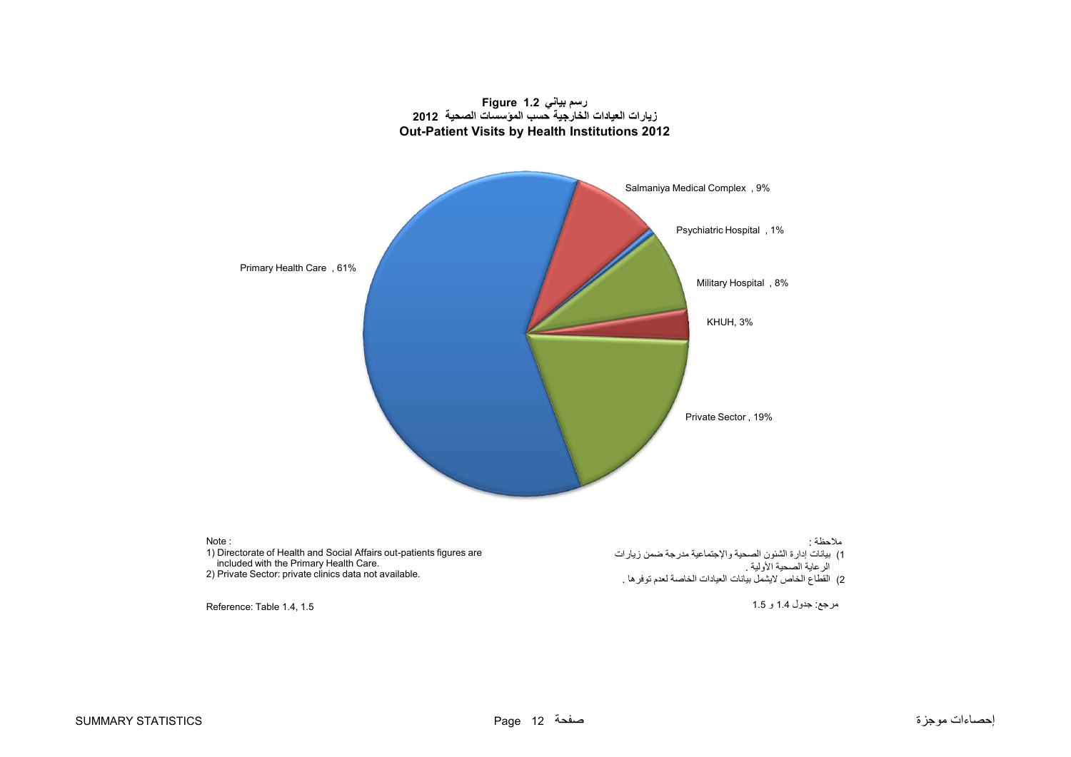<span id="page-12-0"></span>

# **رسم بياني 1.2 Figure**

Note : 1) Directorate of Health and Social Affairs out-patients figures are included with the Primary Health Care. 2) Private Sector: private clinics data not available. Reference: Table 1.4, 1.5 مالحظة : 1) بيانات إدارة الشئون الصحية واإلجتماعية مدرجة ضمن زيارات الر عاية الصحية الأولية . 2) القطاع الخاص لايشمل بيانات العيادات الخاصة لعدم توفر ها . مرجع: جدول 1.4 <sup>و</sup> 1.5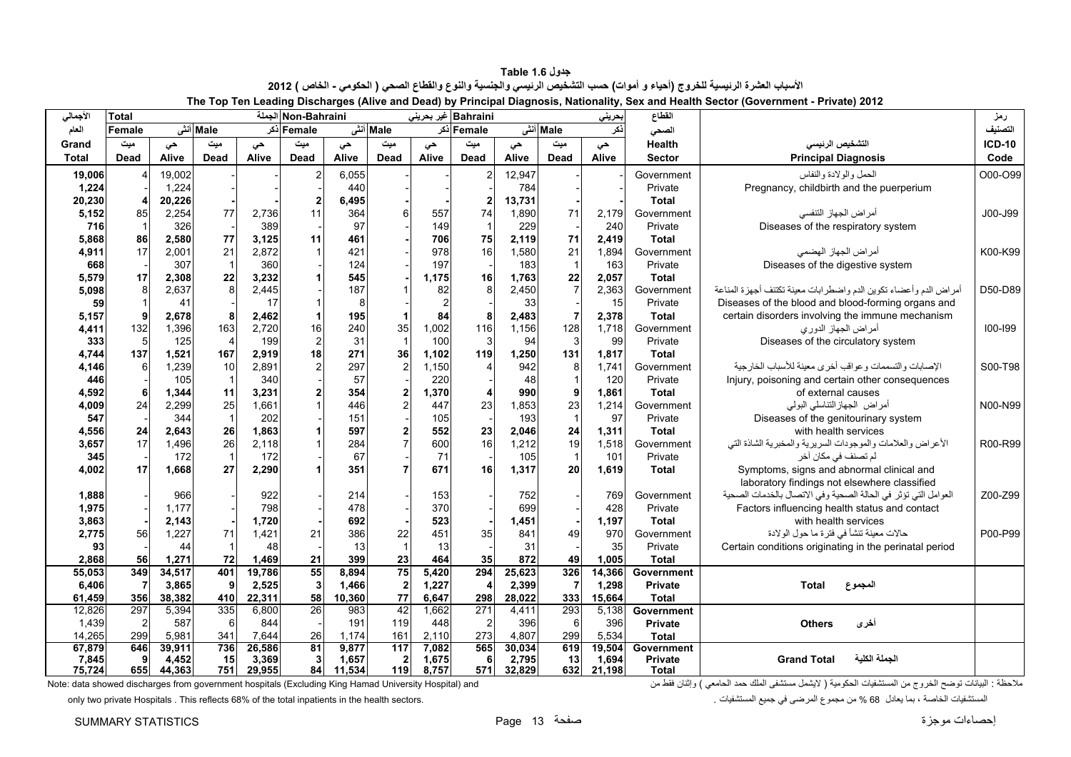**جدول 1.6 Table** الأسباب العشرة الرئيسية للخروج (أحياء و أموات) حسب التشخيص الرئيسي والجنسية والنوع والقطاع الصحي ( الحكومي - الخاص ) 2012 **The Top Ten Leading Discharges (Alive and Dead) by Principal Diagnosis, Nationality, Sex and Health Sector (Government - Private) 2012** 

<span id="page-13-0"></span>

| الأجمالي        | <b>Total</b>   |                 |              |                 | Non-Bahraini   |                 |                                |                | Bahraini غير بحريني |                 |                | بحريني          | القطاع                         |                                                                  | رمز           |
|-----------------|----------------|-----------------|--------------|-----------------|----------------|-----------------|--------------------------------|----------------|---------------------|-----------------|----------------|-----------------|--------------------------------|------------------------------------------------------------------|---------------|
| العام           | Female         |                 | Male أنش     |                 | Femaleاذکر     |                 | Male أنش                       |                | Female أكر          |                 | Male أنشى      | ذكر             | الصحى                          |                                                                  | التصنيف       |
| Grand           | میت            |                 | میت          |                 | میت            |                 | میت                            |                | میت                 |                 | میت            |                 | Health                         | التشخيص الرنيسي                                                  | <b>ICD-10</b> |
| <b>Total</b>    | <b>Dead</b>    | حى<br>Alive     | Dead         | حى<br>Alive     | <b>Dead</b>    | حى<br>Alive     | <b>Dead</b>                    | حى<br>Alive    | Dead                | حى<br>Alive     | <b>Dead</b>    | حى<br>Alive     | <b>Sector</b>                  | <b>Principal Diagnosis</b>                                       | Code          |
|                 |                |                 |              |                 |                |                 |                                |                |                     |                 |                |                 |                                |                                                                  |               |
| 19,006          |                | 19,002<br>1,224 |              |                 |                | 6,055<br>440    |                                |                | 2                   | 12,947<br>784   |                |                 | Government                     | الحمل والولادة والنفاس                                           | O00-O99       |
| 1,224           |                |                 |              |                 |                |                 |                                |                |                     |                 |                |                 | Private<br><b>Total</b>        | Pregnancy, childbirth and the puerperium                         |               |
| 20,230<br>5,152 | 85             | 20,226<br>2,254 | 77           | 2.736           | 11             | 6,495<br>364    | 6                              | 557            | 74                  | 13,731<br>1,890 | 71             | 2.179           | Government                     | أمراض الجهاز التنفسي                                             | J00-J99       |
| 716             | $\overline{1}$ | 326             |              | 389             |                | 97              |                                | 149            | -1                  | 229             |                | 240             | Private                        | Diseases of the respiratory system                               |               |
| 5,868           | 86             | 2,580           | 77           | 3,125           | 11             | 461             |                                | 706            | 75                  | 2,119           | 71             | 2.419           | <b>Total</b>                   |                                                                  |               |
| 4,911           | 17             | 2,001           | 21           | 2,872           |                | 421             |                                | 978            | 16                  | 1,580           | 21             | 1,894           | Government                     | أمراض الجهاز الهضمى                                              | K00-K99       |
| 668             |                | 307             |              | 360             |                | 124             |                                | 197            |                     | 183             | $\overline{1}$ | 163             | Private                        | Diseases of the digestive system                                 |               |
| 5,579           | 17             | 2,308           | 22           | 3,232           |                | 545             |                                | 1,175          | 16                  | 1,763           | 22             | 2,057           | <b>Total</b>                   |                                                                  |               |
| 5,098           | 8              | 2,637           | $\mathbf{a}$ | 2,445           |                | 187             |                                | 82             | 8                   | 2,450           | $\overline{7}$ | 2,363           | Government                     | أمراض الدم وأعضاء تكوين الدم واضطرابات معينة تكتنف أجهزة المناعة | D50-D89       |
| 59              |                | 41              |              | 17              |                | 8               |                                | $\overline{2}$ |                     | 33              |                | 15              | Private                        | Diseases of the blood and blood-forming organs and               |               |
| 5,157           | 9              | 2,678           | 8            | 2,462           | 1              | 195             |                                | 84             | 8                   | 2,483           | $\overline{7}$ | 2,378           | <b>Total</b>                   | certain disorders involving the immune mechanism                 |               |
| 4,411           | 132            | 1,396           | 163          | 2,720           | 16             | 240             | 35                             | 1,002          | 116                 | 1,156           | 128            | 1.718           | Government                     | أمراض الجهاز الدوري                                              | $100 - 199$   |
| 333             | 5              | 125             |              | 199             | $\overline{2}$ | 31              | $\mathbf{1}$                   | 100            | 3                   | 94              | $\mathbf{3}$   | 99              | Private                        | Diseases of the circulatory system                               |               |
| 4,744           | 137            | 1,521           | 167          | 2,919           | 18             | 271             | 36                             | 1,102          | 119                 | 1,250           | 131            | 1,817           | <b>Total</b>                   |                                                                  |               |
| 4,146           | 6              | 1,239           | 10           | 2.891           | $\overline{2}$ | 297             | $\overline{2}$                 | 1,150          |                     | 942             | 8              | 1.741           | Government                     | الإصابات والتسممات وعواقب أخرى معينة للأسباب الخارجية            | S00-T98       |
| 446             |                | 105             |              | 340             |                | 57              |                                | 220            |                     | 48              | $\overline{1}$ | 120             | Private                        | Injury, poisoning and certain other consequences                 |               |
| 4,592           | 6              | 1,344           | 11           | 3,231           | $\overline{2}$ | 354             | $\overline{2}$                 | 1,370          | 4                   | 990             | 9              | 1,861           | <b>Total</b>                   | of external causes                                               |               |
| 4,009           | 24             | 2,299           | 25           | 1,661           |                | 446             | $\overline{2}$                 | 447            | 23                  | 1,853           | 23             | 1,214           | Government                     | أمراض الجهاز التناسلي البولبي                                    | N00-N99       |
| 547             |                | 344             |              | 202             |                | 151             |                                | 105            |                     | 193             | $\overline{1}$ | 97              | Private                        | Diseases of the genitourinary system                             |               |
| 4,556           | 24             | 2,643           | 26           | 1,863           |                | 597             | $\overline{2}$                 | 552            | 23                  | 2,046           | 24             | 1,311           | <b>Total</b>                   | with health services                                             |               |
| 3,657           | 17             | 1,496           | 26           | 2.118           |                | 284             |                                | 600            | 16                  | 1,212           | 19             | 1,518           | Government                     | الأعراض والعلامات والموجودات السريرية والمخبرية الشاذة التي      | R00-R99       |
| 345             |                | 172             |              | 172             |                | 67              |                                | 71             |                     | 105             | $\overline{1}$ | 101             | Private                        | لم تصنف في مكان أخر                                              |               |
| 4,002           | 17             | 1,668           | 27           | 2,290           |                | 351             |                                | 671            | 16                  | 1,317           | 20             | 1,619           | <b>Total</b>                   | Symptoms, signs and abnormal clinical and                        |               |
|                 |                |                 |              |                 |                |                 |                                |                |                     |                 |                |                 |                                | laboratory findings not elsewhere classified                     |               |
| 1,888           |                | 966             |              | 922             |                | 214             |                                | 153            |                     | 752             |                | 769             | Government                     | العوامل التي تؤثر في الحالة الصحية وفي الاتصال بالخدمات الصحية   | Z00-Z99       |
| 1,975           |                | 1.177           |              | 798             |                | 478             |                                | 370            |                     | 699             |                | 428             | Private                        | Factors influencing health status and contact                    |               |
| 3,863           |                | 2,143           |              | 1,720           |                | 692             |                                | 523            |                     | 1,451           |                | 1.197           | <b>Total</b>                   | with health services                                             |               |
| 2,775           | 56             | 1,227           | 71           | 1,421           | 21             | 386             | 22                             | 451            | 35                  | 841             | 49             | 970             | Government                     | حالات معينة تنشأ في فترة ما حول الولادة                          | P00-P99       |
| 93              |                | 44              |              | 48              |                | 13              | $\mathbf{1}$                   | 13             |                     | 31              |                | 35              | Private                        | Certain conditions originating in the perinatal period           |               |
| 2,868           | 56             | 1,271           | 72           | 1,469           | 21             | 399             | 23                             | 464            | 35                  | 872             | 49             | 1,005           | <b>Total</b>                   |                                                                  |               |
| 55,053          | 349            | 34,517          | 401          | 19,786          | 55             | 8,894           | 75                             | 5,420          | 294                 | 25,623          | 326            | 14,366          | Government                     |                                                                  |               |
| 6,406           | 7              | 3,865           | 9            | 2,525           | 3              | 1,466           | $\boldsymbol{2}$               | 1,227          | 4                   | 2,399           | $\overline{7}$ | 1,298           | <b>Private</b>                 | Total<br>المجموع                                                 |               |
| 61,459          | 356            | 38,382          | 410          | 22,311          | 58             | 10,360          | 77                             | 6,647          | 298                 | 28,022          | 333            | 15.664          | <b>Total</b>                   |                                                                  |               |
| 12,826          | 297            | 5,394           | 335          | 6,800           | 26             | 983             | 42                             | 1,662          | $\overline{271}$    | 4,411           | 293            | 5,138           | Government                     |                                                                  |               |
| 1,439           | $\overline{2}$ | 587             | 6            | 844             |                | 191             | 119                            | 448            | $\overline{2}$      | 396             | 6              | 396             | <b>Private</b>                 | أخرى<br><b>Others</b>                                            |               |
| 14,265          | 299            | 5,981           | 341          | 7,644           | 26             | 1,174           | 161                            | 2,110          | 273                 | 4,807           | 299            | 5.534           | <b>Total</b>                   |                                                                  |               |
| 67,879          | 646<br>9       | 39,911          | 736<br>15    | 26,586          | 81<br>3        | 9,877           | 117                            | 7,082          | 565                 | 30,034          | 619<br>13      | 19.504          | Government                     | الحملة الكلبة<br><b>Grand Total</b>                              |               |
| 7,845<br>75.724 | 655            | 4,452<br>44,363 | 751          | 3,369<br>29.955 | 84             | 1,657<br>11,534 | $\overline{\mathbf{2}}$<br>119 | 1,675<br>8.757 | 6<br>571            | 2,795<br>32.829 | 632            | 1,694<br>21.198 | <b>Private</b><br><b>Total</b> |                                                                  |               |
|                 |                |                 |              |                 |                |                 |                                |                |                     |                 |                |                 |                                |                                                                  |               |

ملاحظة : البيانات توضح الخروج من المستشفيات الحكومية ( لايشمل مستشفى الملك حمد الحامعي ) وإثنان فقط من الحامعي ) وإثنان فقط من الحامعي ) وإثنان فقط من الحامعي ) وإثنان فقط من الحامعي ) وإثنان فقط من الحامعي ) وإثنان فقط م

only two private Hospitals . This reflects 68% of the total inpatients in the health sectors. . المستشفيات جميع في المرضى مجموع من % 68 يعادل بما ، الخاصة المستشفيات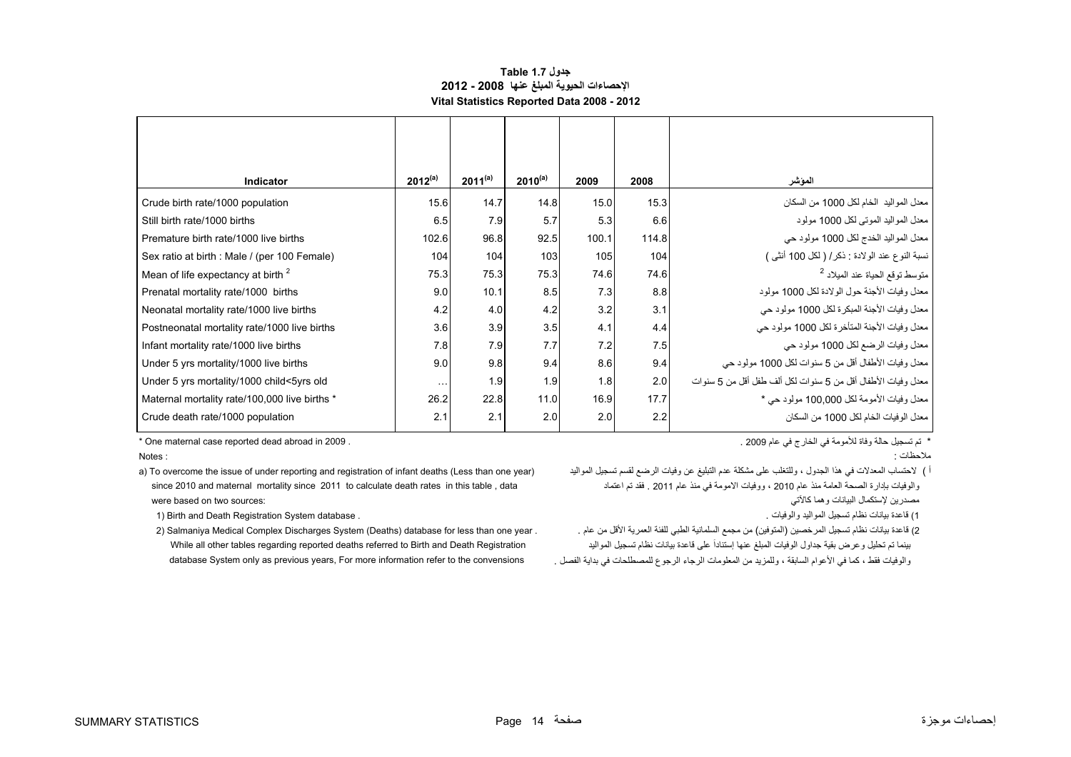#### **جدول 1.7 Table اإلحصاءات الحيوية المبلغ عنھا 2008 - 2012 Vital Statistics Reported Data 2008 - 2012**

<span id="page-14-0"></span>

| Indicator                                     | $2012^{(a)}$ | $2011^{(a)}$ | $2010^{(a)}$     | 2009  | 2008  | المؤشر                                                       |
|-----------------------------------------------|--------------|--------------|------------------|-------|-------|--------------------------------------------------------------|
| Crude birth rate/1000 population              | 15.6         | 14.7         | 14.8             | 15.0  | 15.3  | معدل المواليد  الخام لكل 1000 من السكان                      |
| Still birth rate/1000 births                  | 6.5          | 7.9          | 5.7              | 5.3   | 6.6   | معدل المواليد الموتبي لكل 1000 مولود                         |
| Premature birth rate/1000 live births         | 102.6        | 96.8         | 92.5             | 100.1 | 114.8 | معدل المواليد الخدج لكل 1000 مولود حي                        |
| Sex ratio at birth : Male / (per 100 Female)  | 104          | 104          | 103              | 105   | 104   | نسبة النوع عند الولادة : ذكر/ ( لكل 100 أنثى )               |
| Mean of life expectancy at birth <sup>2</sup> | 75.3         | 75.3         | 75.3             | 74.6  | 74.6  | متوسط توقع الحياة عند الميلاد <sup>2</sup>                   |
| Prenatal mortality rate/1000 births           | 9.0          | 10.1         | 8.5              | 7.3   | 8.8   | معدل وفيات الأجنة حول الولادة لكل 1000 مولود                 |
| Neonatal mortality rate/1000 live births      | 4.2          | 4.0          | 4.2              | 3.2   | 3.1   | معدل وفيات الأجنة المبكرة لكل 1000 مولود حي                  |
| Postneonatal mortality rate/1000 live births  | 3.6          | 3.9          | 3.5              | 4.1   | 4.4   | معدل وفيات الأجنة المتأخرة لكل 1000 مولود حي                 |
| Infant mortality rate/1000 live births        | 7.8          | 7.9          | 7.7              | 7.2   | 7.5   | معدل وفيات الرضع لكل 1000 مولود حي                           |
| Under 5 yrs mortality/1000 live births        | 9.0          | 9.8          | 9.4              | 8.6   | 9.4   | معدل وفيات الأطفال أقل من 5 سنوات لكل 1000 مولود حي          |
| Under 5 yrs mortality/1000 child<5yrs old     | $\ddotsc$    | 1.9          | 1.9              | 1.8   | 2.0   | معدل وفيات الأطفال أقل من 5 سنوات لكل ألف طفل أقل من 5 سنوات |
| Maternal mortality rate/100,000 live births * | 26.2         | 22.8         | 11.0             | 16.9  | 17.7  | معدل وفيات الأمومة لكل 100,000 مولود حي *                    |
| Crude death rate/1000 population              | 2.1          | 2.1          | 2.0 <sub>l</sub> | 2.0   | 2.2   | معدل الو فيات الخام لكل 1000 من السكان                       |

Notes:

i ) لاحتساب المعدلات في هذا الجدول ، وللتغلب على مشكلة عدم التبليغ عن وفيات الرضع لقسم تسجيل المواليد ( a) To overcome the issue of under reporting and registration of infant deaths (Less than one year) (هي فيات الرضع لقس والوفيات بإدارة الصحة العامة منذ عام 2010 ، ووفيات الامومة في منذ عام 2011 . فقد تم اعتماد صحاحات عام 2011 . فقد تم اعتماد مع العام عنهاد عام 2011 . فقد تم اعتماد صحاحات العام مع العام العام العام العام العام العام 2010 . مصدر بن إلستكمال البيانات وھما كالآتي :sources two on two sources :

1) قاعدة بيانات نظام تسجيل المواليد والوفيات .<br>1) قاعدة بيانات نظام تسجيل المواليد والوفيات .

بينما تم تحليل وعرض بقية جداول الوفيات المبلغ عنھا إستناداَ على قاعدة بيانات نظام تسجيل المواليد Registration Death and Birth to referred deaths reported regarding tables other all While والوفيات فقط ، كما في الأعوام السابقة ، وللمزيد من المعلومات الرجوع للمصطلحات في بداية الفصل . convensions والوفيات فقط ، وodtabase System only as previous years, For more information refer to the convensions

\* تم تسجيل حالة وفاة لألمومة في الخارج في عام 2009 . . 2009 in abroad dead reported case maternal One\*

مالحظات : : Notes

2) قاعدة بيانات نظام تسجيل المرخصين (المتوفين) من مجمع السلمانية الطبي للفئة العمرية الأقل من عام . . / Salmaniya Medical Complex Discharges System (Deaths) database for less than one year .

إحصاءات موجزة صفحة 14 Page STATISTICS SUMMARY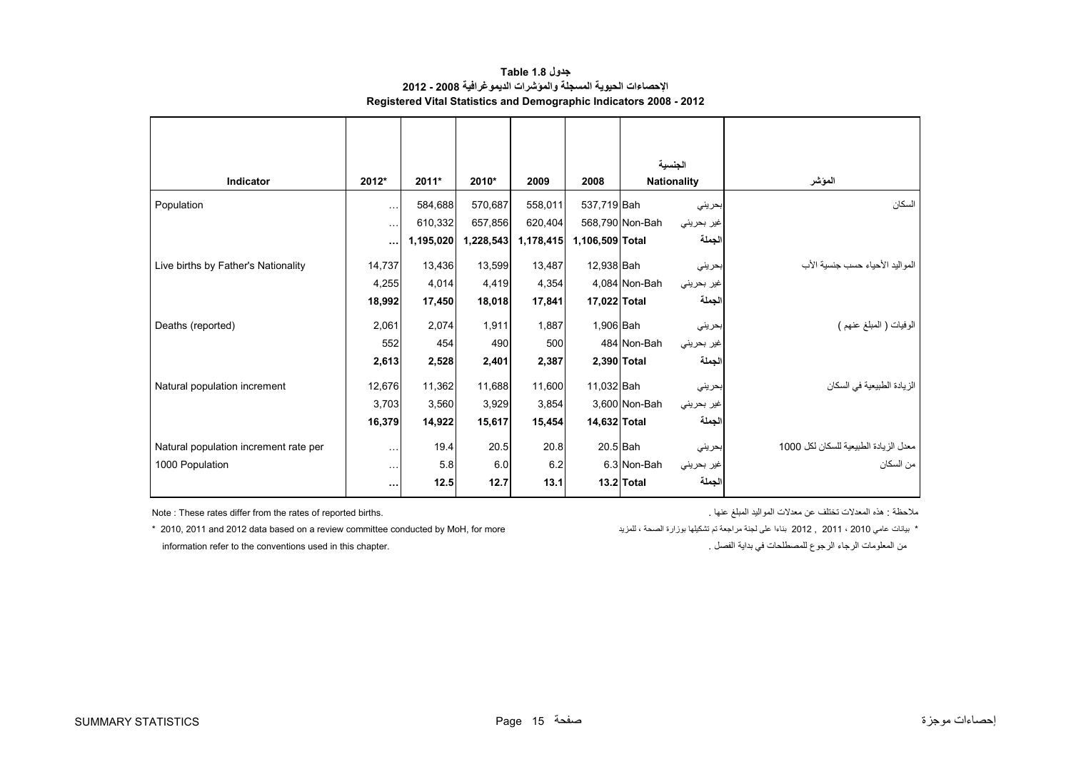| جدول Table 1.8                                                            |
|---------------------------------------------------------------------------|
| الإحصاءات الحيوية المسجلة والموشرات الديمو غرافية 2008 - 2012             |
| <b>Registered Vital Statistics and Demographic Indicators 2008 - 2012</b> |

<span id="page-15-0"></span>

|                                       |          |           |           |           |                 | الجنسية                       |                                       |
|---------------------------------------|----------|-----------|-----------|-----------|-----------------|-------------------------------|---------------------------------------|
| <b>Indicator</b>                      | 2012*    | 2011*     | 2010*     | 2009      | 2008            | <b>Nationality</b>            | المؤشر                                |
| Population                            | $\ldots$ | 584,688   | 570,687   | 558,011   | 537,719 Bah     | بحريني                        | السكان                                |
|                                       | $\ldots$ | 610,332   | 657,856   | 620,404   |                 | 568,790 Non-Bah<br>غير بحريني |                                       |
|                                       | $\cdots$ | 1,195,020 | 1,228,543 | 1,178,415 | 1,106,509 Total | الجملة                        |                                       |
| Live births by Father's Nationality   | 14,737   | 13,436    | 13,599    | 13,487    | 12,938 Bah      | بحريني                        | المو البد الأحباء حسب جنسبة الأب      |
|                                       | 4,255    | 4,014     | 4,419     | 4,354     |                 | 4,084 Non-Bah<br>غير بحريني   |                                       |
|                                       | 18,992   | 17,450    | 18,018    | 17,841    | 17,022 Total    | الجملة                        |                                       |
|                                       |          |           |           |           |                 |                               |                                       |
| Deaths (reported)                     | 2,061    | 2,074     | 1,911     | 1,887     | 1,906 Bah       | بحريني                        | الوفيات ( المُبلغ عنهم )              |
|                                       | 552      | 454       | 490       | 500       |                 | 484 Non-Bah<br>غير بحريني     |                                       |
|                                       | 2,613    | 2,528     | 2,401     | 2,387     | 2,390 Total     | الجملة                        |                                       |
| Natural population increment          | 12,676   | 11,362    | 11,688    | 11,600    | 11,032 Bah      | بحريني                        | الزيادة الطبيعية في السكان            |
|                                       | 3,703    | 3,560     | 3,929     | 3,854     |                 | 3,600 Non-Bah<br>غير بحريني   |                                       |
|                                       | 16,379   | 14,922    | 15,617    | 15,454    | 14,632 Total    | الجملة                        |                                       |
| Natural population increment rate per | $\cdots$ | 19.4      | 20.5      | 20.8      | $20.5$ Bah      | بحريني                        | معدل الزيادة الطبيعية للسكان لكل 1000 |
| 1000 Population                       | $\cdots$ | 5.8       | 6.0       | 6.2       |                 | 6.3 Non-Bah<br>غیر بحرینی     | من السكان                             |
|                                       | $\cdots$ | 12.5      | 12.7      | 13.1      |                 | الجملة<br>13.2 Total          |                                       |
|                                       |          |           |           |           |                 |                               |                                       |

.<br>ملاحظة : هذه المعدلات تختلف عن معدلات المواليد المبلغ عنها المبلغ عنها المبلغ عنها المعدلات المعدالت المعدالت المعدالت المعدالت المعدالت المعدالت المعدالت المعدالت المعدالت المعدالت المعدالت المعدالت المعدالت المعدالت

\* بيانات عامي 2010 ، 2011 2011 بناءا على لجنة مراجعة تم تشكيلها بوزارة الصحة ، للمزيد ، الصحة بوزارة تشكيلها بوزارة الصحة ، للمزيد ، المنزيد ، الصحة بوزارة تشكيلها بوزارة الصحة ، للمزيد من المعلومات الرجاء الرجوع للمصطلحات في بداية الفصل . الفصل بداية في بداية في بداية في بداية في بداية الفصل . ا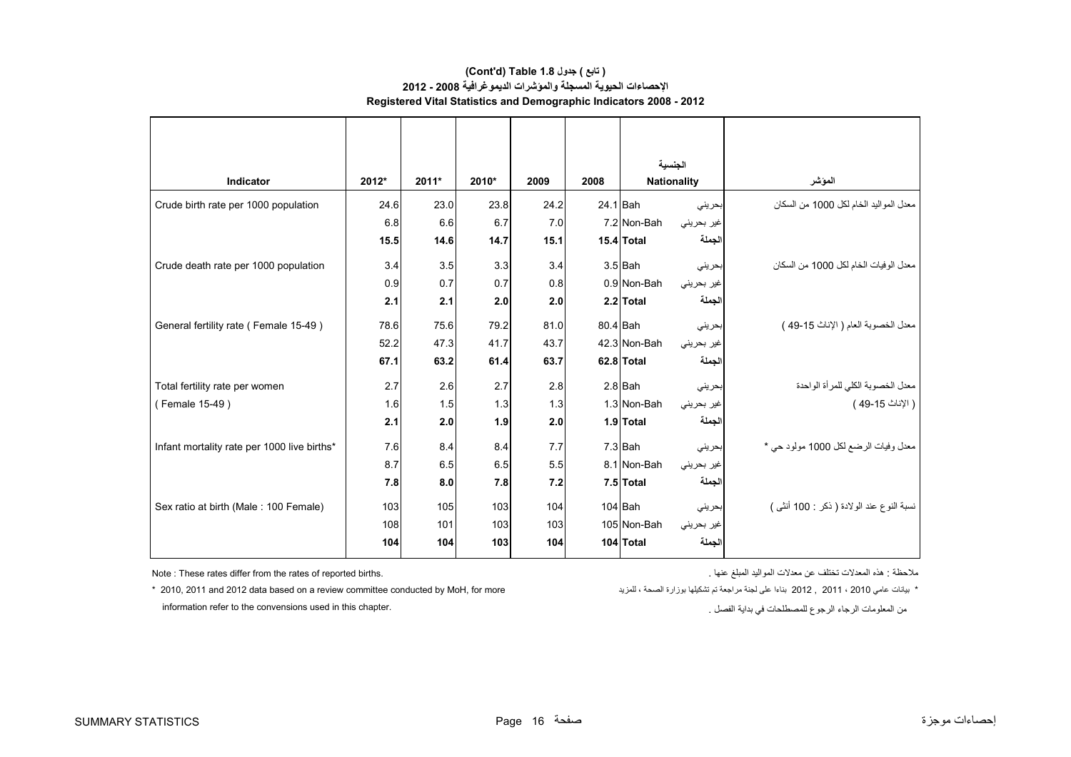#### **Registered Vital Statistics and Demographic Indicators 2008 - 2012 (Cont'd) Table 1.8 جدول ) تابع( اإلحصاءات الحيوية المسجلة والمؤشرات الديموغرافية 2008 - 2012**

|                                             |       |         |       |      |          | الحنسبة            |            |                                           |
|---------------------------------------------|-------|---------|-------|------|----------|--------------------|------------|-------------------------------------------|
| Indicator                                   | 2012* | $2011*$ | 2010* | 2009 | 2008     | <b>Nationality</b> |            | المؤشر                                    |
| Crude birth rate per 1000 population        | 24.6  | 23.0    | 23.8  | 24.2 | 24.1 Bah |                    | بحريني     | معدل المواليد الخام لكل 1000 من السكان    |
|                                             | 6.8   | 6.6     | 6.7   | 7.0  |          | 7.2 Non-Bah        | غير بحريني |                                           |
|                                             | 15.5  | 14.6    | 14.7  | 15.1 |          | 15.4 Total         | الجملة     |                                           |
| Crude death rate per 1000 population        | 3.4   | 3.5     | 3.3   | 3.4  |          | $3.5$ Bah          | بحرينى     | معدل الوفيات الخام لكل 1000 من السكان     |
|                                             | 0.9   | 0.7     | 0.7   | 0.8  |          | 0.9 Non-Bah        | غير بحريني |                                           |
|                                             | 2.1   | 2.1     | 2.0   | 2.0  |          | 2.2 Total          | الجملة     |                                           |
| General fertility rate (Female 15-49)       | 78.6  | 75.6    | 79.2  | 81.0 |          | $80.4$ Bah         | بحريني     | معدل الخصوبة العام ( الإناث 15-49 )       |
|                                             | 52.2  | 47.3    | 41.7  | 43.7 |          | 42.3 Non-Bah       | غير بحريني |                                           |
|                                             | 67.1  | 63.2    | 61.4  | 63.7 |          | 62.8 Total         | الجملة     |                                           |
| Total fertility rate per women              | 2.7   | 2.6     | 2.7   | 2.8  |          | $2.8$ Bah          | بحريني     | معدل الخصوبة الكلي للمرأة الواحدة         |
| (Female 15-49)                              | 1.6   | 1.5     | 1.3   | 1.3  |          | 1.3 Non-Bah        | غير بحريني | ( الإناث 15-49 )                          |
|                                             | 2.1   | 2.0     | 1.9   | 2.0  |          | 1.9 Total          | الجملة     |                                           |
| Infant mortality rate per 1000 live births* | 7.6   | 8.4     | 8.4   | 7.7  |          | $7.3$ Bah          | بحريني     | معدل وفيات الرضع لكل 1000 مولود حي *      |
|                                             | 8.7   | 6.5     | 6.5   | 5.5  |          | 8.1 Non-Bah        | غير بحريني |                                           |
|                                             | 7.8   | 8.0     | 7.8   | 7.2  |          | 7.5 Total          | الجملة     |                                           |
| Sex ratio at birth (Male: 100 Female)       | 103   | 105     | 103   | 104  |          | $104$ Bah          | بحريني     | نسبة النوع عند الولادة ( ذكر : 100 أنثى ) |
|                                             | 108   | 101     | 103   | 103  |          | 105 Non-Bah        | غير بحريني |                                           |
|                                             | 104   | 104     | 103   | 104  |          | 104 Total          | الجملة     |                                           |

ملاحظة : هذه المعدلات تختلف عن معدلات المواليد المبلغ عنها المبلغ عنها المبلغ المعدالت المعدالت المعدالت المعد

\* بيانات عامي 2010 ، 2011 and 2012 data based on a review committee conducted by MoH, for more بناءا على لجنة مراجعة تم تشكيلها بوزارة الصحة ، للمزيد ، سمين الصحة بوزارة الصحة ، للمزيد ويسمين 2010 , 2011 and 2012 data bas information refer to the convensions used in this chapter.

من المعلومات الرجاء الرجوع للمصطلحات في بداية الفصل .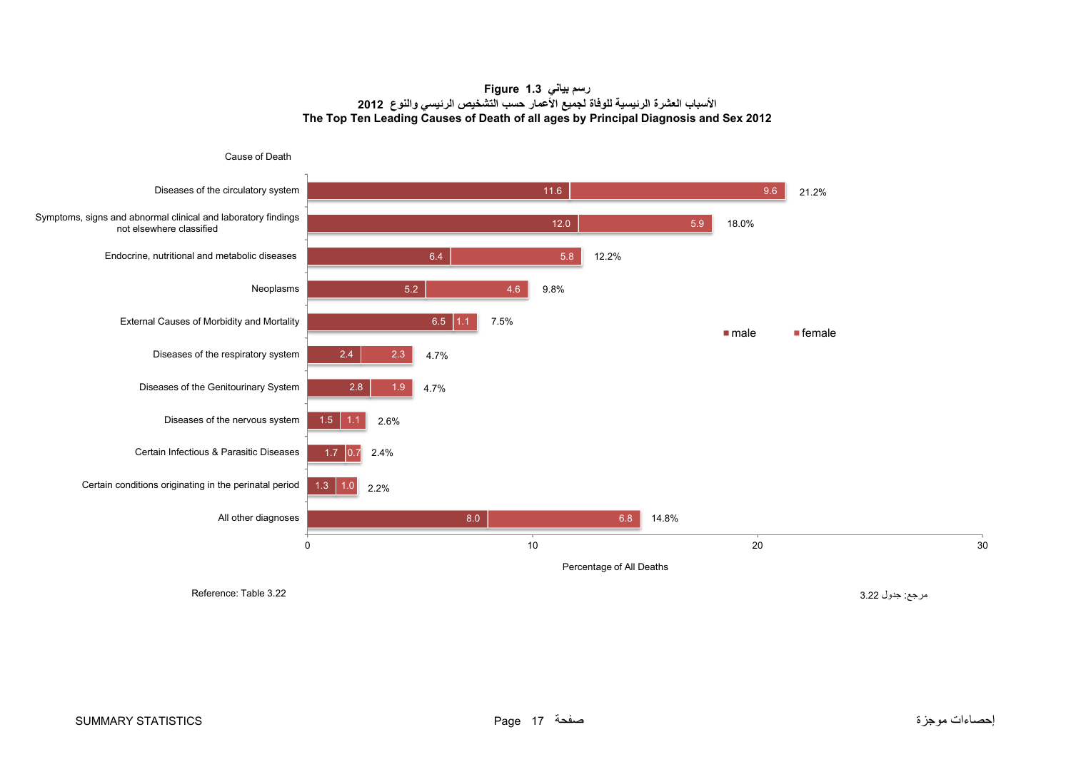#### **رسم بياني 1.3 Figure األسباب العشرة الرئيسية للوفاة لجميع األعمار حسب التشخيص الرئيسي والنوع <sup>2012</sup> The Top Ten Leading Causes of Death of all ages by Principal Diagnosis and Sex 2012**

<span id="page-17-0"></span>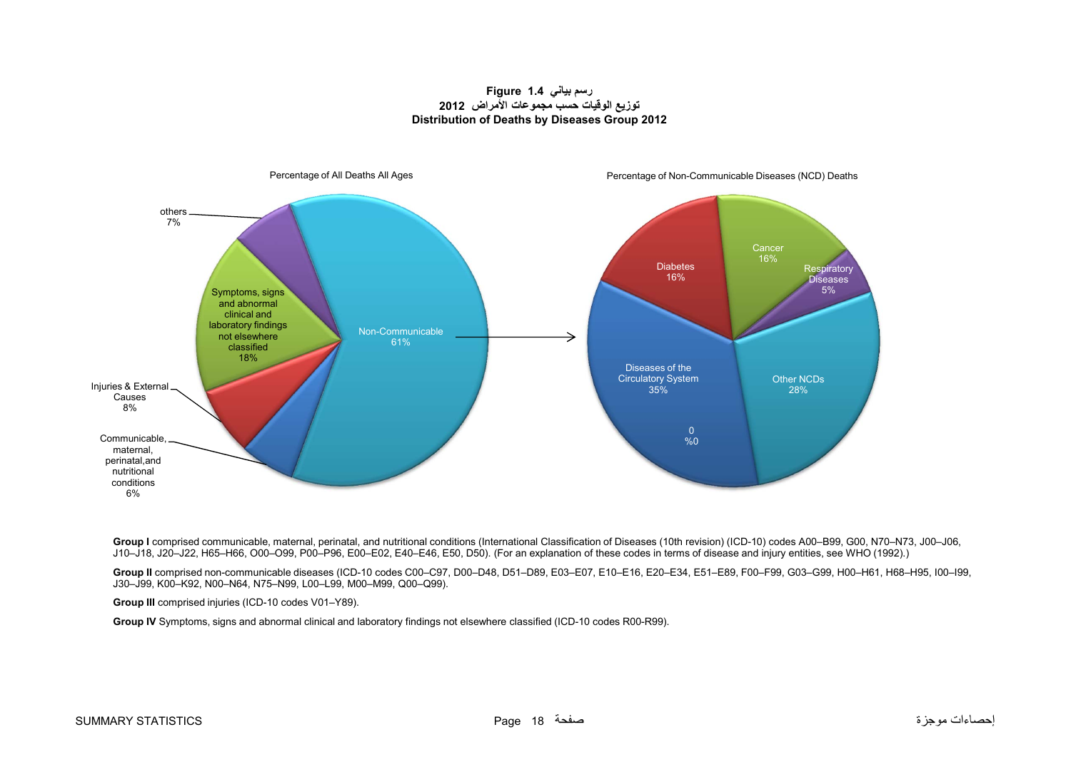#### **رسم بياني 1.4 Figure توزيع الوقيات حسب مجموعات األمراض <sup>2012</sup> Distribution of Deaths by Diseases Group 2012**



Group I comprised communicable, maternal, perinatal, and nutritional conditions (International Classification of Diseases (10th revision) (ICD-10) codes A00-B99, G00, N70-N73, J00-J06, J10–J18, J20–J22, H65–H66, O00–O99, P00–P96, E00–E02, E40–E46, E50, D50). (For an explanation of these codes in terms of disease and injury entities, see WHO (1992).)

**Group II** comprised non-communicable diseases (ICD-10 codes C00–C97, D00–D48, D51–D89, E03–E07, E10–E16, E20–E34, E51–E89, F00–F99, G03–G99, H00–H61, H68–H95, I00–I99, J30–J99, K00–K92, N00–N64, N75–N99, L00–L99, M00–M99, Q00–Q99).

**Group III** comprised injuries (ICD-10 codes V01–Y89).

**Group IV** Symptoms, signs and abnormal clinical and laboratory findings not elsewhere classified (ICD-10 codes R00-R99).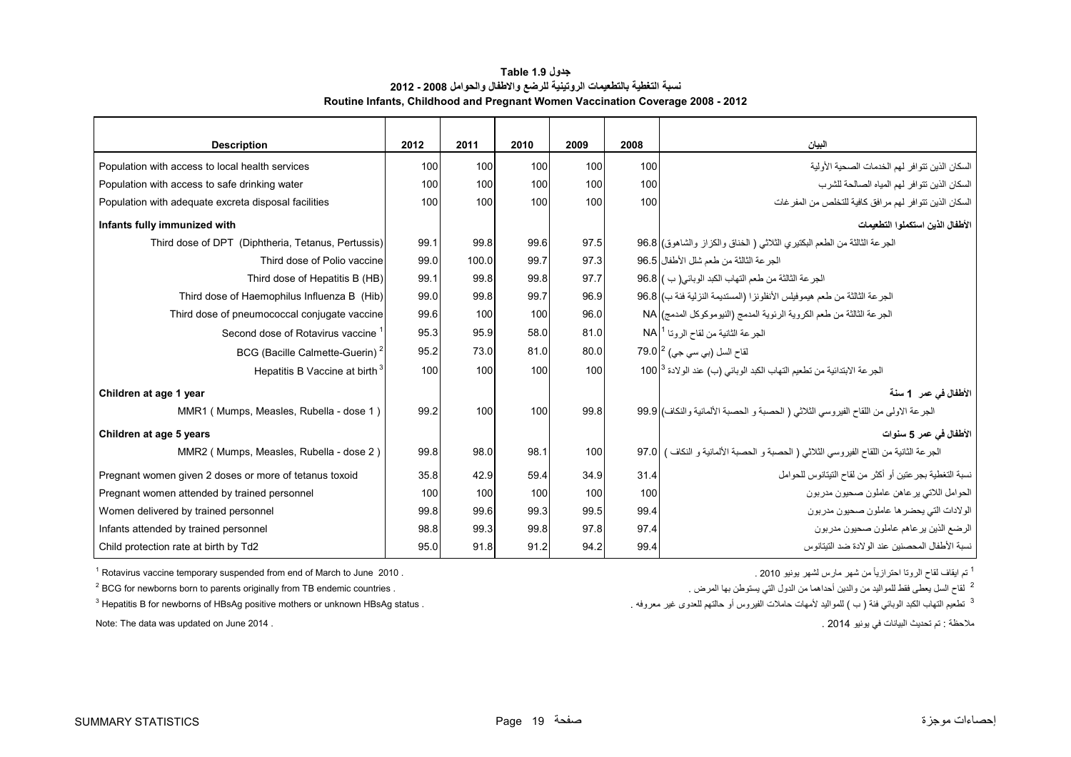<span id="page-19-0"></span>

| <b>Description</b>                                     | 2012 | 2011  | 2010 | 2009             | 2008 | البيان                                                                                        |
|--------------------------------------------------------|------|-------|------|------------------|------|-----------------------------------------------------------------------------------------------|
| Population with access to local health services        | 100  | 100   | 100  | 100              | 100  | السكان الذين تتو افر لهم الخدمات الصحية الأولية                                               |
| Population with access to safe drinking water          | 100  | 100   | 100  | 100              | 100  | السكان الذين تتوافر لهم المياه الصالحة للشرب                                                  |
| Population with adequate excreta disposal facilities   | 100  | 100   | 100  | 100 <sup>1</sup> | 100  | السكان الذين تتوافر لهم مرافق كافية للتخلص من المفر غات                                       |
| Infants fully immunized with                           |      |       |      |                  |      | الأطفال الذين استكملوا التطعيمات                                                              |
| Third dose of DPT (Diphtheria, Tetanus, Pertussis)     | 99.1 | 99.8  | 99.6 | 97.5             |      | الجرعة الثالثة من الطعم البكتيري الثلاثي ( الخناق والكزاز والشاهوق) 96.8                      |
| Third dose of Polio vaccine                            | 99.0 | 100.0 | 99.7 | 97.3             |      | الجرعة الثالثة من طعم شلل الأطفال 96.5                                                        |
| Third dose of Hepatitis B (HB)                         | 99.1 | 99.8  | 99.8 | 97.7             |      | الجرعة الثالثة من طعم التهاب الكبد الوبائي( ب ) 96.8                                          |
| Third dose of Haemophilus Influenza B (Hib)            | 99.0 | 99.8  | 99.7 | 96.9             |      | الجرعة الثالثة من طعم هيموفيلس الأنظونزا (المستديمة النزلية فئة ب) 36.8                       |
| Third dose of pneumococcal conjugate vaccine           | 99.6 | 100   | 100  | 96.0             |      | الجرعة الثالثة من طعم الكروية الرئوية المدمج (النيوموكوكل المدمج) NA                          |
| Second dose of Rotavirus vaccine                       | 95.3 | 95.9  | 58.0 | 81.0             |      | الجرعة الثانية من لقاح الروتا 1 NA                                                            |
| BCG (Bacille Calmette-Guerin) <sup>2</sup>             | 95.2 | 73.0  | 81.0 | 80.0             |      | لقاح السل (بي سي جي) 79.0 º                                                                   |
| Hepatitis B Vaccine at birth <sup>3</sup>              | 100  | 100   | 100  | 100              |      | الجر عة الابتدائية من تطعيم التهاب الكبد الوبائي (ب) عند الولادة 100 <sup> 3</sup>            |
| Children at age 1 year                                 |      |       |      |                  |      | الأطفال في عمر _1 سنة                                                                         |
| MMR1 (Mumps, Measles, Rubella - dose 1)                | 99.2 | 100   | 100  | 99.8             |      | الجرعة الاولى من اللقاح الفيروسي الثلاثي ( الحصبة و الحصبة الألمانية والنكاف) 99.9            |
| Children at age 5 years                                |      |       |      |                  |      | الأطفال في عمر 5 سنوات                                                                        |
| MMR2 (Mumps, Measles, Rubella - dose 2)                | 99.8 | 98.0  | 98.1 | 100              |      | الـجر عة الثـانية من اللقاح الفيروسي الثلاثـي ( الـحصبة و الـحصبة الألمـانية و النكاف )  97.0 |
| Pregnant women given 2 doses or more of tetanus toxoid | 35.8 | 42.9  | 59.4 | 34.9             | 31.4 | نسبة التغطية بجر عتين أو أكثر من لقاح التيتانوس للحوامل                                       |
| Pregnant women attended by trained personnel           | 100  | 100   | 100  | 100              | 100  | الحوامل اللاتي يرعاهن عاملون صحيون مدربون                                                     |
| Women delivered by trained personnel                   | 99.8 | 99.6  | 99.3 | 99.5             | 99.4 | الولادات التي يحضر ها عاملون صحيون مدربون                                                     |
| Infants attended by trained personnel                  | 98.8 | 99.3  | 99.8 | 97.8             | 97.4 | الرضع الذين يرعاهم عاملون صحيون مدربون                                                        |
| Child protection rate at birth by Td2                  | 95.0 | 91.8  | 91.2 | 94.2             | 99.4 | نسبة الأطفال المحصنين عند الولادة ضد التيتانوس                                                |

#### **جدول 1.9 Table نسبة التغطية بالتطعيمات الروتينية للرضع واالطفال والحوامل 2008 - 2012 Routine Infants, Childhood and Pregnant Women Vaccination Coverage 2008 - 2012**

 $1$  Rotavirus vaccine temporary suspended from end of March to June 2010 .

<sup>2</sup> BCG for newborns born to parents originally from TB endemic countries .

 $<sup>3</sup>$  Hepatitis B for newborns of HBsAg positive mothers or unknown HBsAg status .</sup>

<sup>1</sup> تم ايقاف لقاح الروتـا احترازيـاً من شهر مارس لشهر يونيو 2010 .

<sup>2</sup> لقاح السل يعطي فقط للمواليد من والدين أحداهما من الدول التي يستوطن بها المرض <sub>.</sub>

<sup>3</sup> تطعيم التهاب الكبد الوبائي فئة ( ب ) للمواليد لأمهات حاملات الفيروس أو حالتهم للعدوى غير معروفه .

Note: The data was updated on June 2014 . . 2014 يونيو في البيانات تحديث تم : مالحظة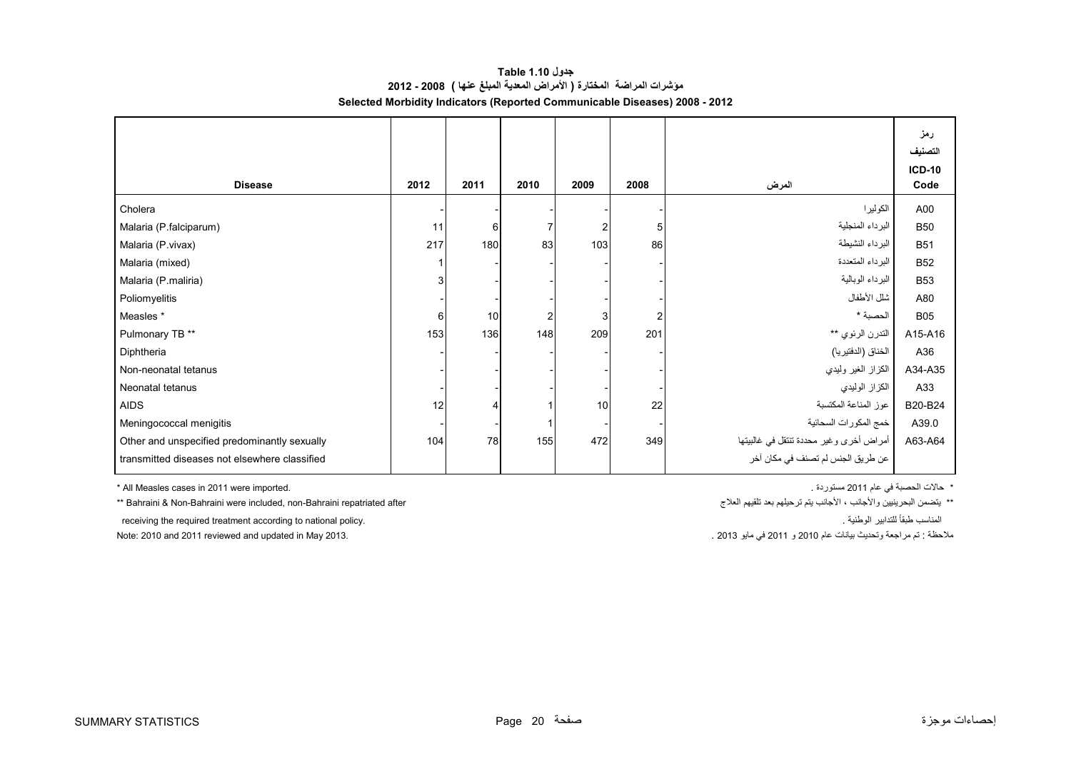#### **جدول 1.10 Table مؤشرات المراضة المختارة ( األمراض المعدية المبلغ عنھا ) 2008 - 2012 Selected Morbidity Indicators (Reported Communicable Diseases) 2008 - 2012**

<span id="page-20-0"></span>

|                                               |      |      |      |                |      |                                         | رمز<br>التصنيف<br><b>ICD-10</b> |
|-----------------------------------------------|------|------|------|----------------|------|-----------------------------------------|---------------------------------|
| <b>Disease</b>                                | 2012 | 2011 | 2010 | 2009           | 2008 | المرض                                   | Code                            |
| Cholera                                       |      |      |      |                |      | الكوليرا                                | A00                             |
| Malaria (P.falciparum)                        | 11   | 6    |      | $\overline{2}$ | 5    | البرداء المنجلية                        | <b>B50</b>                      |
| Malaria (P.vivax)                             | 217  | 180  | 83   | 103            | 86   | البرداء النشيطة                         | <b>B51</b>                      |
| Malaria (mixed)                               |      |      |      |                |      | البرداء المتعددة                        | <b>B52</b>                      |
| Malaria (P.maliria)                           | 3    |      |      |                |      | البرداء الوبالية                        | <b>B53</b>                      |
| Poliomyelitis                                 |      |      |      |                |      | شلل الأطفال                             | A80                             |
| Measles *                                     | 6    | 10   |      | 3              | 2    | الحصبة *                                | <b>B05</b>                      |
| Pulmonary TB **                               | 153  | 136  | 148  | 209            | 201  | التدرن الرئوي **                        | A15-A16                         |
| Diphtheria                                    |      |      |      |                |      | الخناق (الدفتيريا)                      | A36                             |
| Non-neonatal tetanus                          |      |      |      |                |      | الكزاز الغير وليدي                      | A34-A35                         |
| Neonatal tetanus                              |      |      |      |                |      | الكزاز الوليدي                          | A33                             |
| <b>AIDS</b>                                   | 12   |      |      | 10             | 22   | عوز المناعة المكتسبة                    | B20-B24                         |
| Meningococcal menigitis                       |      |      |      |                |      | خمج المكورات السحائية                   | A39.0                           |
| Other and unspecified predominantly sexually  | 104  | 78   | 155  | 472            | 349  | أمراض أخرى وغير محددة تنتقل في غالبيتها | A63-A64                         |
| transmitted diseases not elsewhere classified |      |      |      |                |      | عن طريق الجنس لم تصنف في مكان آخر       |                                 |

\* هالات الحصبة في عام 2011 مستوردة .<br>\* هالات الحصبة في عام 2011 مستوردة .

\*\* Bahraini & Non-Bahraini were included, non-Bahraini repatriated after

\*\* يتضمن البحرينيين والأجانب ، الأجانب يتم ترحيلهم بعد تلقيهم العلاج

receiving the required treatment according to national policy. . الوطنية للتدابير ًطبقا المناسب

Note: 2010 and 2011 reviewed and updated in May 2013.

مالحظة : تم مراجعة وتحديث بيانات عام <sup>2010</sup> <sup>و</sup> <sup>2011</sup> في مايو 2013 .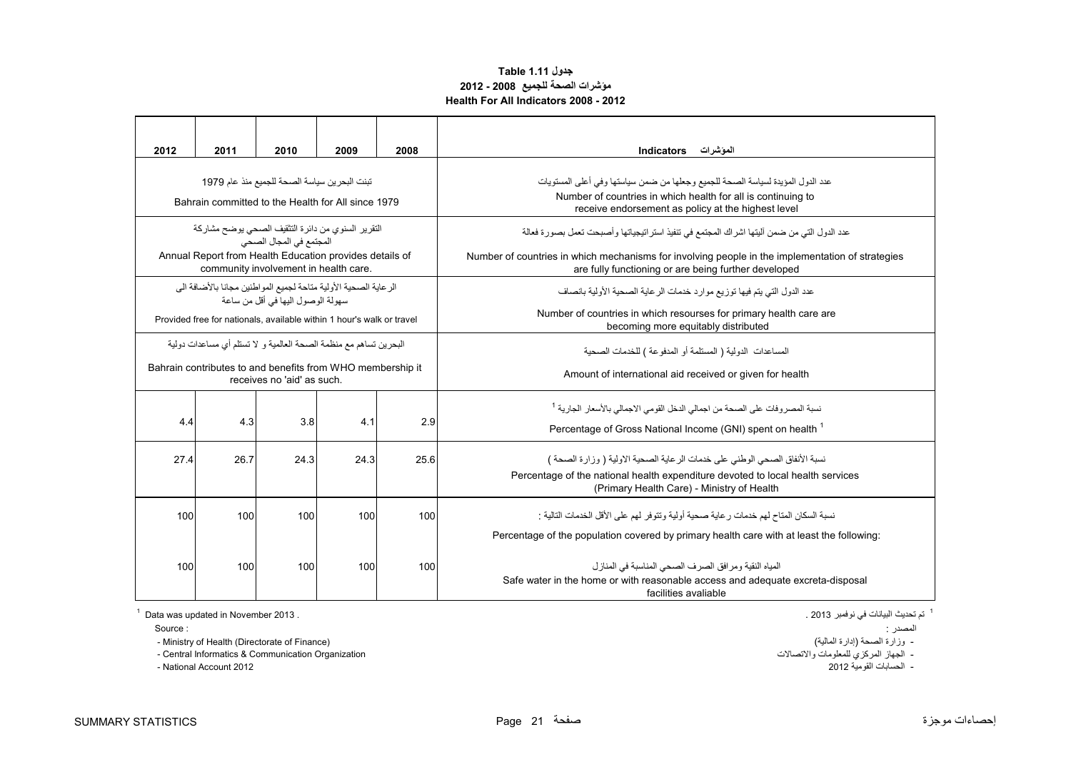#### **جدول 1.11 Table مؤشرات الصحة للجميع 2008 - 2012 Health For All Indicators 2008 - 2012**

<span id="page-21-0"></span>

| 2012                                                                                                     | 2011                                                                                     | 2010                                                                                             | 2009 | 2008 | الموشرات<br><b>Indicators</b>                                                                                                                                                                                                          |  |  |  |  |
|----------------------------------------------------------------------------------------------------------|------------------------------------------------------------------------------------------|--------------------------------------------------------------------------------------------------|------|------|----------------------------------------------------------------------------------------------------------------------------------------------------------------------------------------------------------------------------------------|--|--|--|--|
| تبنت البحرين سياسة الصحة للجميع منذ عام 1979<br>Bahrain committed to the Health for All since 1979       |                                                                                          |                                                                                                  |      |      | عدد الدول المؤيدة لسياسة الصحة للجميع وجعلها من ضمن سياستها وفي أعلى المستويات<br>Number of countries in which health for all is continuing to<br>receive endorsement as policy at the highest level                                   |  |  |  |  |
| التقرير السنوى من دائرة التثقيف الصحى يوضح مشاركة<br>المجتمع في المجال الصحي                             |                                                                                          |                                                                                                  |      |      | عدد الدول التي من ضمن أليتها اشراك المجتمع في تنفيذ استراتيجياتها وأصبحت تعمل بصورة فعالة                                                                                                                                              |  |  |  |  |
|                                                                                                          |                                                                                          | Annual Report from Health Education provides details of<br>community involvement in health care. |      |      | Number of countries in which mechanisms for involving people in the implementation of strategies<br>are fully functioning or are being further developed                                                                               |  |  |  |  |
| الر عاية الصحية الأولية متاحة لجميع المو اطنين مجانا بالأضافة الى<br>سهو لة الوصو ل اليها في أقل من ساعة |                                                                                          |                                                                                                  |      |      | عدد الدول التي يتم فيها توزيع موارد خدمات الرعاية الصحية الأولية بانصاف                                                                                                                                                                |  |  |  |  |
| Provided free for nationals, available within 1 hour's walk or travel                                    |                                                                                          |                                                                                                  |      |      | Number of countries in which resourses for primary health care are<br>becoming more equitably distributed                                                                                                                              |  |  |  |  |
| البحر بن تساهم مع منظمة الصحة العالمية و لا تستلم أي مساعدات دولية                                       |                                                                                          |                                                                                                  |      |      | المساعدات الدولية ( المستلمة أو المدفوعة ) للخدمات الصحية                                                                                                                                                                              |  |  |  |  |
|                                                                                                          | Bahrain contributes to and benefits from WHO membership it<br>receives no 'aid' as such. |                                                                                                  |      |      | Amount of international aid received or given for health                                                                                                                                                                               |  |  |  |  |
| 4.4                                                                                                      | 4.3                                                                                      | 3.8                                                                                              | 4.1  | 2.9  | نسبة المصروفات على الصحة من اجمالي الدخل القومي الاجمالي بالأسعار الجارية <sup>1</sup><br>Percentage of Gross National Income (GNI) spent on health <sup>1</sup>                                                                       |  |  |  |  |
| 27.4                                                                                                     | 26.7                                                                                     | 24.3                                                                                             | 24.3 | 25.6 | نسبة الأنفاق الصحى الوطني على خدمات الر عاية الصحية الاولية ( وز ار ة الصحة )<br>Percentage of the national health expenditure devoted to local health services<br>(Primary Health Care) - Ministry of Health                          |  |  |  |  |
| 100                                                                                                      | 100                                                                                      | 100                                                                                              | 100  | 100  | نسبة السكان المناح لهم خدمات رعاية صحية أولية وتتوفر لهم على الأقل الخدمات التالية :                                                                                                                                                   |  |  |  |  |
| 100                                                                                                      | 100                                                                                      | 100                                                                                              | 100  | 100  | Percentage of the population covered by primary health care with at least the following:<br>المياه النقية و مر افق الصر ف الصحى المناسبة في المناز ل<br>Safe water in the home or with reasonable access and adequate excreta-disposal |  |  |  |  |
|                                                                                                          |                                                                                          |                                                                                                  |      |      | facilities avaliable                                                                                                                                                                                                                   |  |  |  |  |

 $1$  Data was updated in November 2013 .

.<br>- Ministry of Health (Directorate of Finance) (المالية إدارة الصحة إبدارة (المسحة إدارة الصحة إدارة الصحة إدار

- الجھاز المركزي للمعلومات واالتصاالت Organization Communication & Informatics Central -

- National Account 2012

<sup>1</sup> تم تحديث البيانات في نوفمبر 2013 .

المصدر : : Source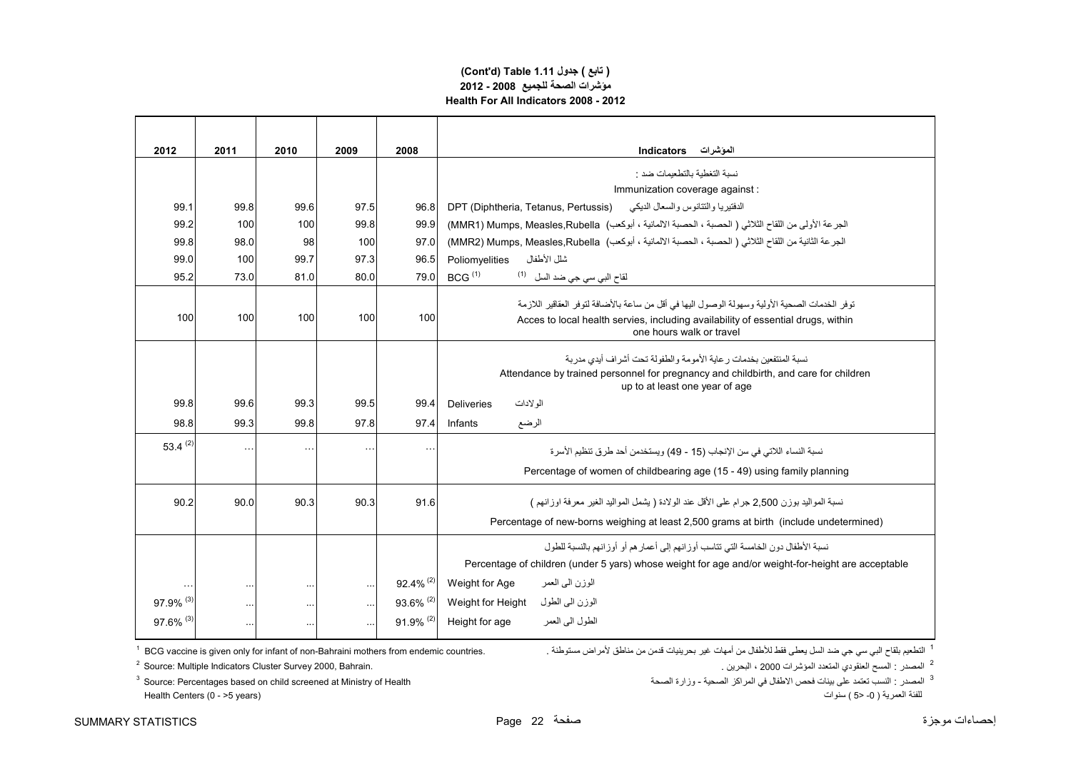#### **(Cont'd) Table 1.11 جدول ) تابع( مؤشرات الصحة للجميع 2008 - 2012 Health For All Indicators 2008 - 2012**

| 2012                    | 2011          | 2010      | 2009 | 2008                    | الموشرات<br><b>Indicators</b>                                                                                                                                                                                  |  |
|-------------------------|---------------|-----------|------|-------------------------|----------------------------------------------------------------------------------------------------------------------------------------------------------------------------------------------------------------|--|
|                         |               |           |      |                         | نسبة التغطية بالتطعيمات ضد :                                                                                                                                                                                   |  |
|                         |               |           |      |                         | Immunization coverage against :                                                                                                                                                                                |  |
| 99.1                    | 99.8          | 99.6      | 97.5 | 96.8                    | الدفتيريا والتتانوس والسعال الديكي<br>DPT (Diphtheria, Tetanus, Pertussis)                                                                                                                                     |  |
| 99.2                    | 100           | 100       | 99.8 | 99.9                    | الجرعة الأولى من اللقاح الثلاثي ( الحصبة ، الحصبة الالمانية ، أبوكعب)  MMR1) Mumps, Measles,Rubella)                                                                                                           |  |
| 99.8                    | 98.0          | 98        | 100  | 97.0                    | الجرعة الثانية من اللقاح الثلاثي ( الحصبة ، الحصبة الالمانية ، أبوكعب)  MMR2) Mumps, Measles,Rubella)                                                                                                          |  |
| 99.0                    | 100           | 99.7      | 97.3 | 96.5                    | شلل الأطفال<br>Poliomyelities                                                                                                                                                                                  |  |
| 95.2                    | 73.0          | 81.0      | 80.0 | 79.0                    | BCG <sup>(1)</sup><br>لقاح الب <i>ي</i> س <i>ي</i> جي ضد السل <sup>(1)</sup>                                                                                                                                   |  |
| 100                     | 100           | 100       | 100  | 100                     | توفر الخدمات الصحية الأولية وسهولة الوصول اليها في أقل من ساعة بالأضافة لتوفر العقاقير اللازمة<br>Acces to local health servies, including availability of essential drugs, within<br>one hours walk or travel |  |
|                         |               |           |      |                         | نسبة المنتفعين بخدمات ر عاية الأمو مة و الطفو لة تحت أشر اف أيدي مدر بة<br>Attendance by trained personnel for pregnancy and childbirth, and care for children<br>up to at least one year of age               |  |
| 99.8                    | 99.6          | 99.3      | 99.5 | 99.4                    | الولادات<br><b>Deliveries</b>                                                                                                                                                                                  |  |
| 98.8                    | 99.3          | 99.8      | 97.8 | 97.4                    | Infants<br>الرضع                                                                                                                                                                                               |  |
| 53.4 $(2)$              | $\bar{\nu}$ . | $\ddotsc$ |      | $\ddotsc$               | نسبة النساء اللاتي في سن الإنجاب (15 - 49) ويستخدمن أحد طرق تنظيم الأسرة                                                                                                                                       |  |
|                         |               |           |      |                         | Percentage of women of childbearing age (15 - 49) using family planning                                                                                                                                        |  |
| 90.2                    | 90.0          | 90.3      | 90.3 | 91.6                    | نسبة المواليد بوزن 2.500 جرام على الأقل عند الو لادة ( بِشْمل المواليد الغير  معرفة اوز انهم )<br>Percentage of new-borns weighing at least 2,500 grams at birth (include undetermined)                        |  |
|                         |               |           |      |                         | نسبة الأطفال دون الخامسة التي تتاسب أو ز انهم إلى أعمار هم أو  أو ز انهم بالنسبة للطول                                                                                                                         |  |
|                         |               |           |      |                         | Percentage of children (under 5 yars) whose weight for age and/or weight-for-height are acceptable                                                                                                             |  |
|                         |               | $\cdots$  |      | $92.4\%$ <sup>(2)</sup> | Weight for Age<br>الوزن الىي العمر                                                                                                                                                                             |  |
| $97.9\%$ <sup>(3)</sup> | $\ddotsc$     | $\ddotsc$ |      | 93.6% (2)               | الوزن الىي الطول<br>Weight for Height                                                                                                                                                                          |  |
| $97.6\%$ <sup>(3)</sup> |               |           |      | $91.9\%$ <sup>(2)</sup> | الطول البي العمر<br>Height for age                                                                                                                                                                             |  |

التطعيم بلقاح البي سي جي ضد السل يعطي فقط للأطفال من أمهات غير بحرينيات قدمن من مناطق لأمراض مستوطنة . .<br>التطعيم بلقاح البي سي جي ضد السل يعطي فقط للأطفال من أمهات غير بحرينيات قدمن من مناطق لأمراض مستوطنة . .

ء<br>2 المصدر : المسح العنقودي المتعدد المؤشرات 2000 ، البحرين .

ك ...<br>للفئة العمر ية ( 0- <5 ) سنو ات

<sup>2</sup> Source: Multiple Indicators Cluster Survey 2000, Bahrain.

<sup>3</sup> المصدر : النسب تعتمد على بينات فحص الاطفال في المراكز الصحية - وزارة الصحة وزارة الصحة وزارة الصحة ( ) . وزارة الصحة ( ) . وزارة الصحة ( ) . وزارة الصحة ( ) . وزارة الصحة ( ) . وزارة الصح Health Centers (0 - >5 years)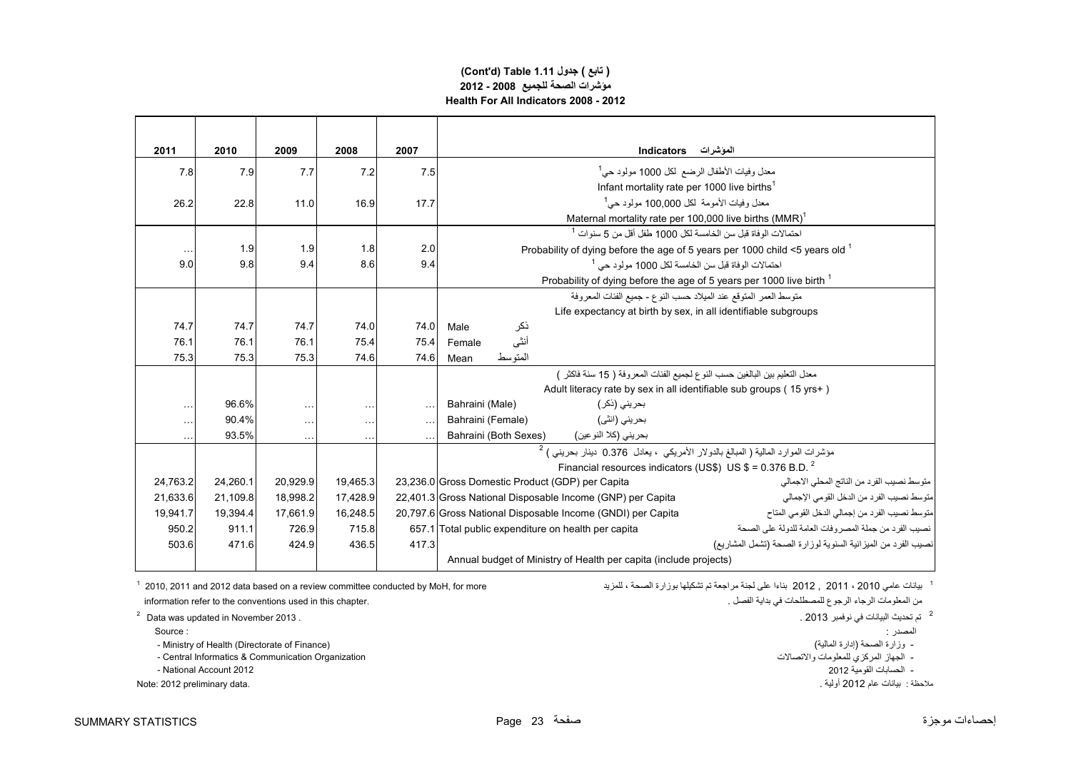#### **(Cont'd) Table 1.11 جدول ) تابع( مؤشرات الصحة للجميع 2008 - 2012 Health For All Indicators 2008 - 2012**

| 2011     | 2010     | 2009      | 2008     | 2007      | المؤشرات Indicators                                                                                           |  |  |  |
|----------|----------|-----------|----------|-----------|---------------------------------------------------------------------------------------------------------------|--|--|--|
| 7.8      | 7.9      | 7.7       | 7.2      | 7.5       | معدل وفيات الأطفال الرضع لكل 1000 مولود حي <sup>1</sup>                                                       |  |  |  |
|          |          |           |          |           | Infant mortality rate per 1000 live births <sup>1</sup>                                                       |  |  |  |
| 26.2     | 22.8     | 11.0      | 16.9     | 17.7      | معدل وفيات الأمومة  لكل 100.000 مولود حي <sup>1</sup>                                                         |  |  |  |
|          |          |           |          |           | Maternal mortality rate per 100,000 live births (MMR) <sup>1</sup>                                            |  |  |  |
|          |          |           |          |           | احتمالات الو فاة قبل سن الخامسة لكل 1000 طفل أقل من 5 سنو ات <sup>1</sup>                                     |  |  |  |
|          | 1.9      | 1.9       | 1.8      | 2.0       | Probability of dying before the age of 5 years per 1000 child $\leq$ 5 years old $^1$                         |  |  |  |
| 9.0      | 9.8      | 9.4       | 8.6      | 9.4       | احتمالات الوفاة قبل سن الخامسة لكل 1000 مولود حي <sup>1</sup>                                                 |  |  |  |
|          |          |           |          |           | Probability of dying before the age of 5 years per 1000 live birth <sup>1</sup>                               |  |  |  |
|          |          |           |          |           | متوسط العمر المتوقع عند الميلاد حسب النوع - جميع الفئات المعروفة                                              |  |  |  |
|          |          |           |          |           | Life expectancy at birth by sex, in all identifiable subgroups                                                |  |  |  |
| 74.7     | 74.7     | 74.7      | 74.0     | 74.0      | ذكر<br>Male                                                                                                   |  |  |  |
| 76.1     | 76.1     | 76.1      | 75.4     | 75.4      | أنثى<br>Female                                                                                                |  |  |  |
| 75.3     | 75.3     | 75.3      | 74.6     | 74.6      | المتوسط<br>Mean                                                                                               |  |  |  |
|          |          |           |          |           | معدل التعليم بين البالغين حسب النو ع لجميع الفئات المعر و فة ( 15 سنة فاكثر _)                                |  |  |  |
|          |          |           |          |           | Adult literacy rate by sex in all identifiable sub groups (15 yrs+)                                           |  |  |  |
| $\cdots$ | 96.6%    | $\sim$    | $\cdots$ | $\ddotsc$ | بحريني (ذكر )<br>Bahraini (Male)                                                                              |  |  |  |
| $\cdots$ | 90.4%    | $\ddotsc$ |          | $\ddotsc$ | بحريني (انٽي)<br>Bahraini (Female)                                                                            |  |  |  |
| $\cdots$ | 93.5%    | $\ddotsc$ |          |           | Bahraini (Both Sexes)<br>بحريني (كلا النوعين)                                                                 |  |  |  |
|          |          |           |          |           | مؤشرات الموارد المالية ( المبالغ بالدولار الأمريكي ، يعادل 0.376 دينار بحريني ) <sup>2</sup>                  |  |  |  |
|          |          |           |          |           | Financial resources indicators (US\$) US $$ = 0.376$ B.D. <sup>2</sup>                                        |  |  |  |
| 24,763.2 | 24,260.1 | 20,929.9  | 19,465.3 |           | متوسط نصيب الفرد من الناتج المحلي الاجمالي<br>23,236.0 Gross Domestic Product (GDP) per Capita                |  |  |  |
| 21,633.6 | 21,109.8 | 18,998.2  | 17,428.9 |           | متوسط نصيب الفرد من الدخل القومي الإجمالي<br>22,401.3 Gross National Disposable Income (GNP) per Capita       |  |  |  |
| 19.941.7 | 19.394.4 | 17.661.9  | 16.248.5 |           | 20,797.6 Gross National Disposable Income (GNDI) per Capita<br>متوسط نصيب الفرد من إجمالي الدخل القومي المتاح |  |  |  |
| 950.2    | 911.1    | 726.9     | 715.8    |           | نصيب الفر د من جملة المصر وفات العامة للدولة على الصحة<br>657.1 Total public expenditure on health per capita |  |  |  |
| 503.6    | 471.6    | 424.9     | 436.5    | 417.3     | نصيب الفرد من الميز انية السنوية لوز ارة الصحة (تشمل المشاريع)                                                |  |  |  |
|          |          |           |          |           | Annual budget of Ministry of Health per capita (include projects)                                             |  |  |  |

information refer to the conventions used in this chapter. . الفصل بداية في للمصطلحات الرجوع الرجاء المعلومات من

 $2$  Data was updated in November 2013 .

- 
- .<br>- Ministry of Health (Directorate of Finance) (المالية إدارة الصحة (إدارة الصحة وإدارة الصحة إدارة (الصحة وزار
- 
- 
- 

1 بيانات عامي 2010 ، 2011 ، 2012 عاما على لجنة مراجعة تم تشكيلها برزارة الصحة ، للمزيد ، الصحة به على المنافس المسلم المزيد ، الصحة به على بناءا على المنافس المرتبات عامي 2010 ، 2011 and 2012 data based on a review commit

<sup>2</sup> تم تحديث البيانات في نوفمبر 2013 .

- المصدر : : Source
	-
- الجھاز المركزي للمعلومات واالتصاالت Organization Communication & Informatics Central -
- الحسابات القومية 2012 2012 Account National -
- مالحظة : بيانات عام 2012 أولية . .data preliminary 2012 :Note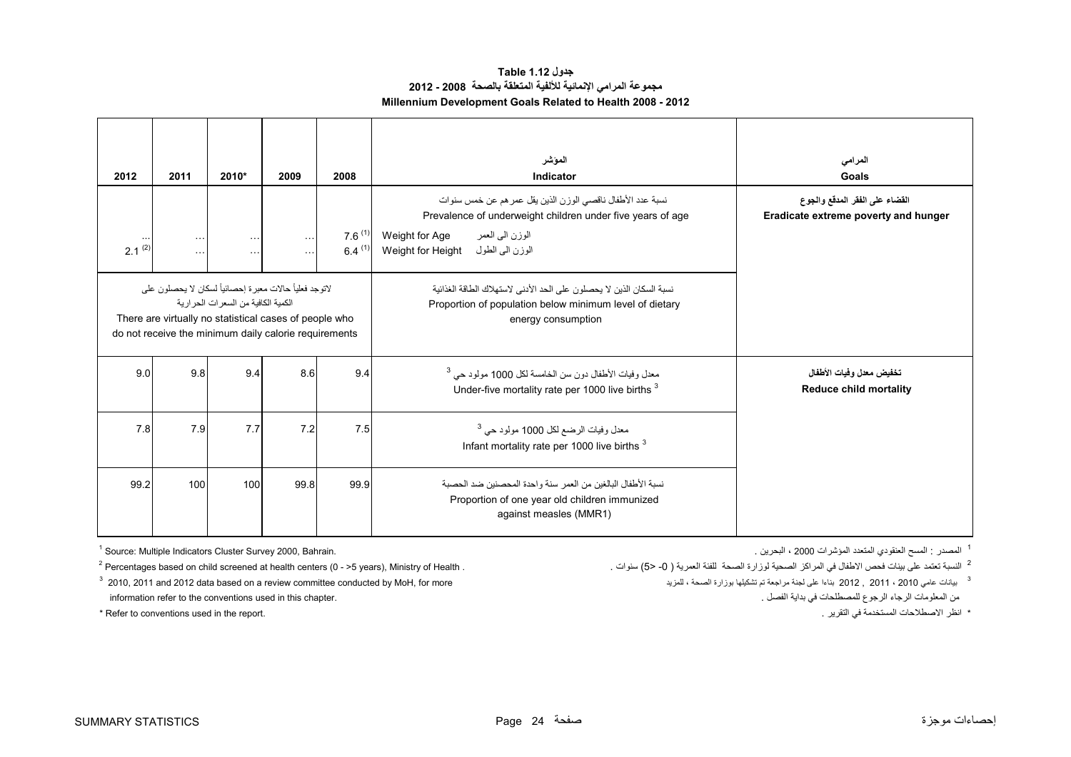| جدول Table 1.12                                               |
|---------------------------------------------------------------|
| مجموعة المرامي الإنمائية للألفية المتعلقة بالصحة  2008 - 2012 |
| Millennium Development Goals Related to Health 2008 - 2012    |

<span id="page-24-0"></span>

| 2012        | 2011                                                                                                                                                                        | 2010*                                 | 2009                              | 2008                       | الموشر<br>Indicator                                                                                                                                                                                 | المرامى<br>Goals                                                       |
|-------------|-----------------------------------------------------------------------------------------------------------------------------------------------------------------------------|---------------------------------------|-----------------------------------|----------------------------|-----------------------------------------------------------------------------------------------------------------------------------------------------------------------------------------------------|------------------------------------------------------------------------|
| $2.1^{(2)}$ | $\ldots$<br>$\cdots$                                                                                                                                                        | $\ldots$<br>$\cdots$                  | $\sim$ $\sim$ $\sim$<br>$\ddotsc$ | $7.6^{(1)}$<br>$6.4^{(1)}$ | نسبة عدد الأطفال ناقصي الوزن الذين يقل عمر هم عن خمس سنوات<br>Prevalence of underweight children under five years of age<br>الوزن الىي العمر<br>Weight for Age<br>الوزن الى الطول Weight for Height | القضاء على الفقر المدقع والجوع<br>Eradicate extreme poverty and hunger |
|             | لاتوجد فعلياً حالات معبر ة إحصـائياً لسكان لا يحصلون على<br>There are virtually no statistical cases of people who<br>do not receive the minimum daily calorie requirements | الكمبة الكافية من السعر ات الحر ار بة |                                   |                            | نسبة السكان الذين لا يحصلون على الحد الأدنى لاستهلاك الطاقة الغذائية<br>Proportion of population below minimum level of dietary<br>energy consumption                                               |                                                                        |
| 9.0         | 9.8                                                                                                                                                                         | 9.4                                   | 8.6                               | 9.4                        | معدل وفيات الأطفال دون سن الخامسة لكل 1000 مولود حي <sup>3</sup><br>Under-five mortality rate per 1000 live births <sup>3</sup>                                                                     | تخفيض معدل وفيات الأطفال<br><b>Reduce child mortality</b>              |
| 7.8         | 7.7<br>7.9<br>7.2<br>7.5                                                                                                                                                    |                                       |                                   |                            | معدل وفيات الرضع لكل 1000 مولود حي <sup>3</sup><br>Infant mortality rate per 1000 live births <sup>3</sup>                                                                                          |                                                                        |
| 99.2        | 100                                                                                                                                                                         | 100                                   | 99.8                              | 99.9                       | نسبة الأطفال البالغين من العمر  سنة و احدة المحصنين ضد الحصية<br>Proportion of one year old children immunized<br>against measles (MMR1)                                                            |                                                                        |

 $1$  Source: Multiple Indicators Cluster Survey 2000, Bahrain.

 $2$  Percentages based on child screened at health centers (0 - >5 years), Ministry of Health .

2 النسبة تعتمد

information refer to the conventions used in this chapter. . الفصل بداية في للمصطلحات الرجوع الرجاء المعلومات من

\* Refer to conventions used in the report. . . . . انظر الاصطلاحات المستخدمة في التقرير . . . . . . . . . . . .

 $^3$  2012 . 2011 and 2012 data based on a review committee conducted by MoH, for more البنائيلها تمراجعة لمراجعة لمزيد ، المراجعة لمن بيانات عامي 2010, 2011 and 2012 , 2011 ، 2010 عامي لجنة مراجعة لم تشكيلها بوزارة الصحة

1 المصدر : المسح العنقودي المتعدد المؤشرات 2000 ، البحرين .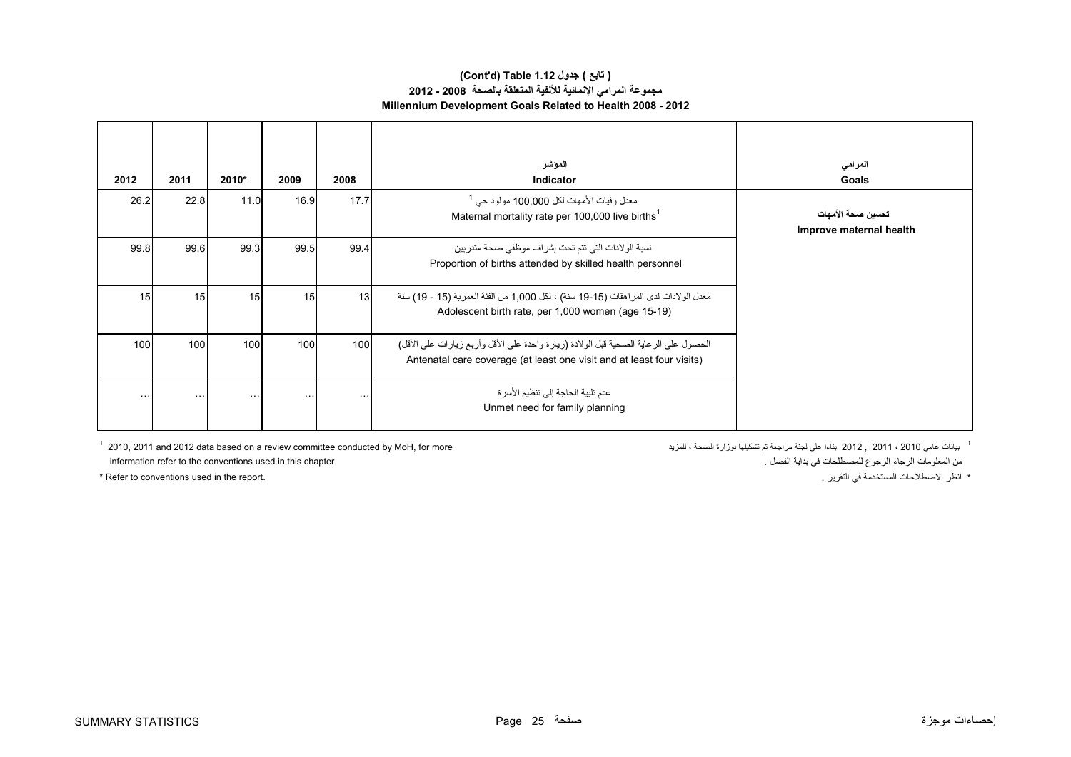#### **(Cont'd) Table 1.12 جدول ) تابع( مجموعة المرامي اإلنمائية لأللفية المتعلقة بالصحة 2008 - 2012 Millennium Development Goals Related to Health 2008 - 2012**

| 2012             | 2011     | $2010*$  | 2009     | 2008                 | الموشر<br><b>Indicator</b>                                                                                                                                    | المرامى<br>Goals                             |
|------------------|----------|----------|----------|----------------------|---------------------------------------------------------------------------------------------------------------------------------------------------------------|----------------------------------------------|
| 26.2             | 22.8     | 11.0     | 16.9     | 17.7                 | معدل وفيات الأمهات لكل 100,000 مولود حي <sup>1</sup><br>Maternal mortality rate per 100,000 live births <sup>1</sup>                                          | تحسين صحة الأمهات<br>Improve maternal health |
| 99.8             | 99.6     | 99.3     | 99.5     | 99.4                 | نسبة الو لادات التي تتم تحت إشر اف موظفي صحة متدر بين<br>Proportion of births attended by skilled health personnel                                            |                                              |
| 15               | 15       | 15       | 15       | 13                   | معدل الو لادات لدى المر اهقات (15-19 سنة) ، لكل 1,000 من الفئة العمرية (15 - 19) سنة<br>Adolescent birth rate, per 1,000 women (age 15-19)                    |                                              |
| 100 <sup>1</sup> | 100      | 100      | 100      | 100                  | الحصول على الرعاية الصحية قبل الولادة (زيارة واحدة على الأقل وأربع زيارات على الأقل)<br>Antenatal care coverage (at least one visit and at least four visits) |                                              |
| $\cdots$         | $\cdots$ | $\cdots$ | $\cdots$ | $\sim$ $\sim$ $\sim$ | عدم تلبية الحاجة إلى تنظيم الأسر ة<br>Unmet need for family planning                                                                                          |                                              |

 $^{\rm 1}$  2012  $^{\rm 2011}$  and 2012 data based on a review committee conducted by MoH, for more بناءا على لجنة مراجعة تم تشكيلها بوزارة الصحة ، للمزيد ، الصحة بوزارة تشكيلها بوزارة الصحة ، للمزيد ، الصحة بالمزيد الصحة بيا من المعلومات الرجوع المصطلحات في بداية الفصل .<br>من المعلومات الرجوع المصطلحات في بداية الفصل .

\* Refer to conventions used in the report. . التقرير في المستخدمة االصطالحات انظر\*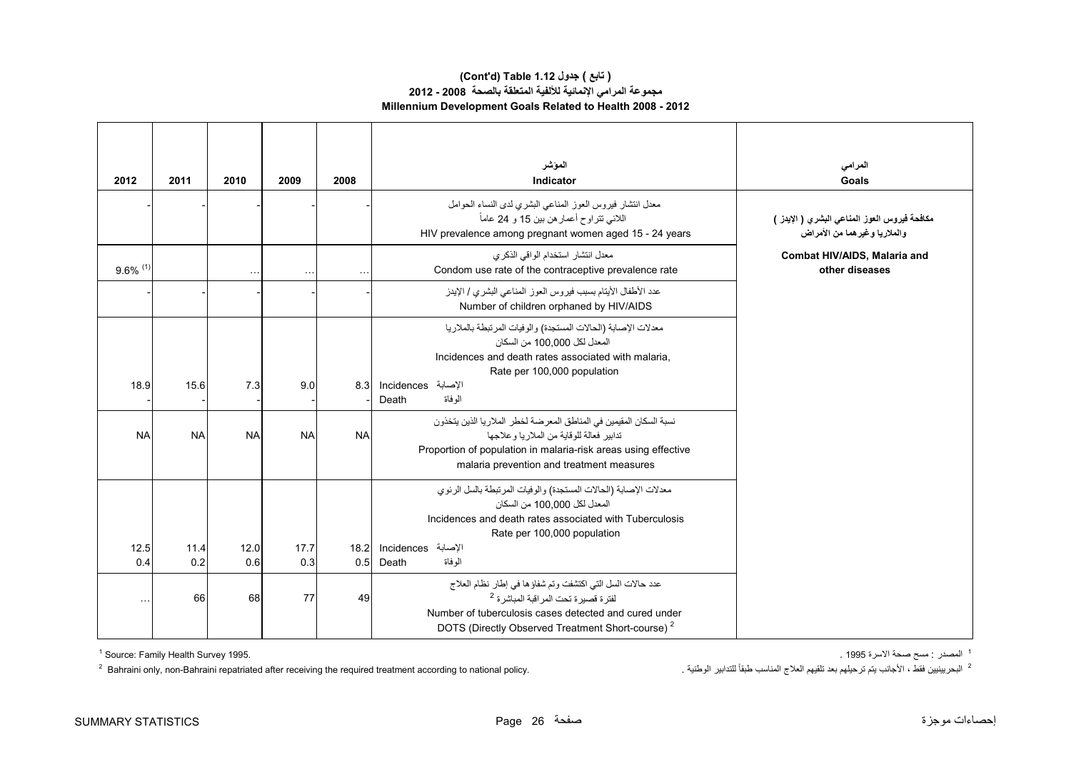## **مجموعة المرامي اإلنمائية لأللفية المتعلقة بالصحة 2008 - 2012 Millennium Development Goals Related to Health 2008 - 2012 (Cont'd) Table 1.12 جدول ) تابع(**

| 2012                   | 2011        | 2010        | 2009        | 2008        | الموشر<br>Indicator                                                                                                                                                                                                                      | المرامي<br>Goals                                                             |
|------------------------|-------------|-------------|-------------|-------------|------------------------------------------------------------------------------------------------------------------------------------------------------------------------------------------------------------------------------------------|------------------------------------------------------------------------------|
|                        |             |             |             |             | معدل انتشار فيروس العوز المناعي البشري لدى النساء الحوامل<br>اللائي تتراوح أعمار هن بين 15 و 24 عاماً<br>HIV prevalence among pregnant women aged 15 - 24 years                                                                          | مكافحة فيروس العوز المناعي البشري ( الإينز )<br>والملاريا وغيرهما من الأمراض |
| $9.6\%$ <sup>(1)</sup> |             | $\ddotsc$   |             |             | معدل انتشار استخدام الواقي الذكرى<br>Condom use rate of the contraceptive prevalence rate                                                                                                                                                | Combat HIV/AIDS, Malaria and<br>other diseases                               |
|                        |             |             |             |             | عدد الأطفال الأيتام بسبب فيروس العوز المناعي البشري / الإيدز<br>Number of children orphaned by HIV/AIDS                                                                                                                                  |                                                                              |
| 18.9                   | 15.6        | 7.3         | 9.0         | 8.3         | معدلات الإصابة (الحالات المستجدة) والوفيات المرتبطة بالملاريا<br>المعدل لكل 100.000 من السكان<br>Incidences and death rates associated with malaria,<br>Rate per 100,000 population<br>الإصابة Incidences<br>الو فاة<br>Death            |                                                                              |
| <b>NA</b>              | <b>NA</b>   | <b>NA</b>   | <b>NA</b>   | <b>NA</b>   | نسبة السكان المقيمين في المناطق المعرضة لخطر الملاريا الذين يتخذون<br>تدابير فعالة للوقابة من الملاربا وعلاجها<br>Proportion of population in malaria-risk areas using effective<br>malaria prevention and treatment measures            |                                                                              |
|                        |             |             |             |             | معدلات الإصابة (الحالات المستجدة) والوفيات المرتبطة بالسل الرئوي<br>المعدل لكل 100 100 من السكان<br>Incidences and death rates associated with Tuberculosis<br>Rate per 100,000 population                                               |                                                                              |
| 12.5<br>0.4            | 11.4<br>0.2 | 12.0<br>0.6 | 17.7<br>0.3 | 18.2<br>0.5 | الإصابة Incidences<br>الو فاة<br>Death                                                                                                                                                                                                   |                                                                              |
|                        | 66          | 68          | 77          | 49          | عدد حالات السل التي اكتشفت وتم شفاؤها في إطار نظام العلاج<br>لفتر ة قصير ة تحت المر اقبة المباشر ة <sup>2</sup><br>Number of tuberculosis cases detected and cured under<br>DOTS (Directly Observed Treatment Short-course) <sup>2</sup> |                                                                              |

<sup>1</sup> المصدر : مسح صحة الاسرة 1995 .

المصدر : مسح صحة الأسرة 1995 .<br>2 المجمدر : مسح صحة الأسرة 1995 .<br>2 البحر بينيين فقط ، الأجانب يتم ترحيلهم بعد تلقيهم العلاج المناسب طبقاً للتدابير الوطنية . المجالسيا عنه المناسب طبقاً للتدابير الوطنية . المجالسيا عنه الم  $2$  Bahraini only, non-Bahraini repatriated after receiving the required treatment according to national policy.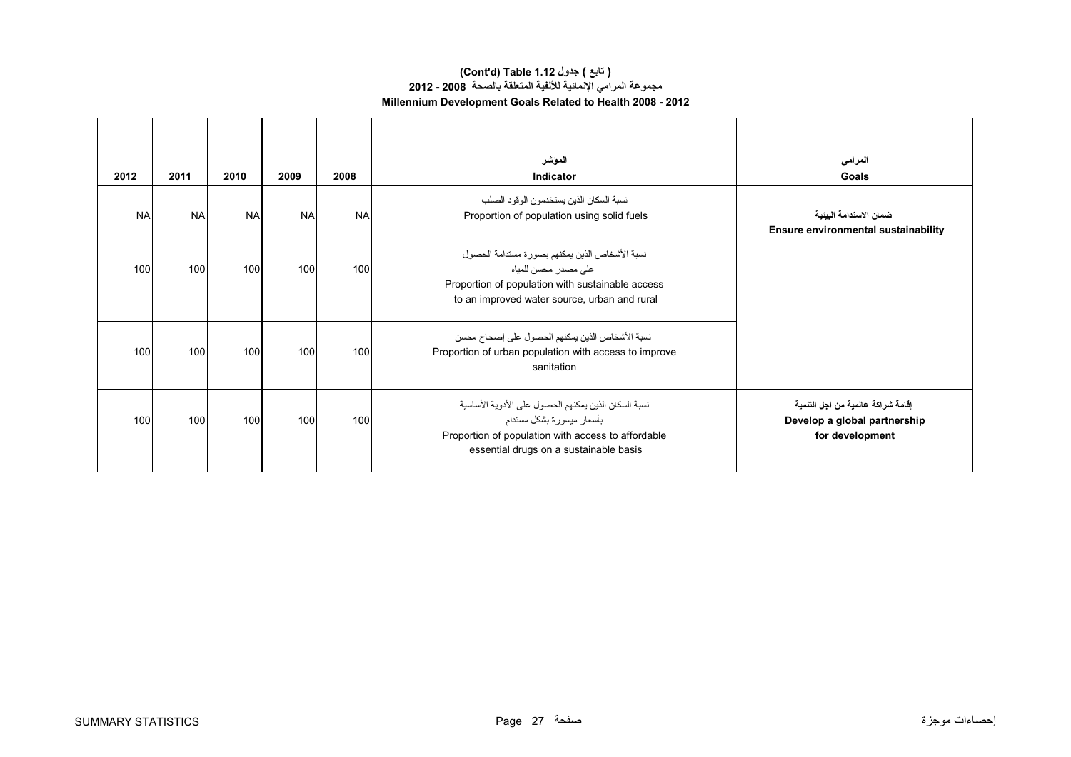### **(Cont'd) Table 1.12 جدول ) تابع( مجموعة المرامي اإلنمائية لأللفية المتعلقة بالصحة 2008 - 2012 Millennium Development Goals Related to Health 2008 - 2012**

| 2012      | 2011      | 2010      | 2009      | 2008      | الموشر<br>Indicator                                                                                                                                                               | المرامى<br>Goals                                                                     |
|-----------|-----------|-----------|-----------|-----------|-----------------------------------------------------------------------------------------------------------------------------------------------------------------------------------|--------------------------------------------------------------------------------------|
| <b>NA</b> | <b>NA</b> | <b>NA</b> | <b>NA</b> | <b>NA</b> | نسبة السكان الذين يستخدمون الوقود الصلب<br>Proportion of population using solid fuels                                                                                             | ضمان الاستدامة البينية<br><b>Ensure environmental sustainability</b>                 |
| 100       | 100       | 100       | 100       | 100       | نسبة الأشخاص الذين يمكنهم بصورة مستدامة الحصول<br>على مصدر محسن للمياه<br>Proportion of population with sustainable access<br>to an improved water source, urban and rural        |                                                                                      |
| 100       | 100       | 100       | 100       | 100       | نسبة الأشخاص الذين يمكنهم الحصول على إصحاح محسن<br>Proportion of urban population with access to improve<br>sanitation                                                            |                                                                                      |
| 100       | 100       | 100       | 100       | 100       | نسبة السكان الذين يمكنهم الحصول على الأدوية الأساسية<br>بأسعار ميسورة بشكل مستدام<br>Proportion of population with access to affordable<br>essential drugs on a sustainable basis | اقامة شراكة عالمية من اجل التنمية<br>Develop a global partnership<br>for development |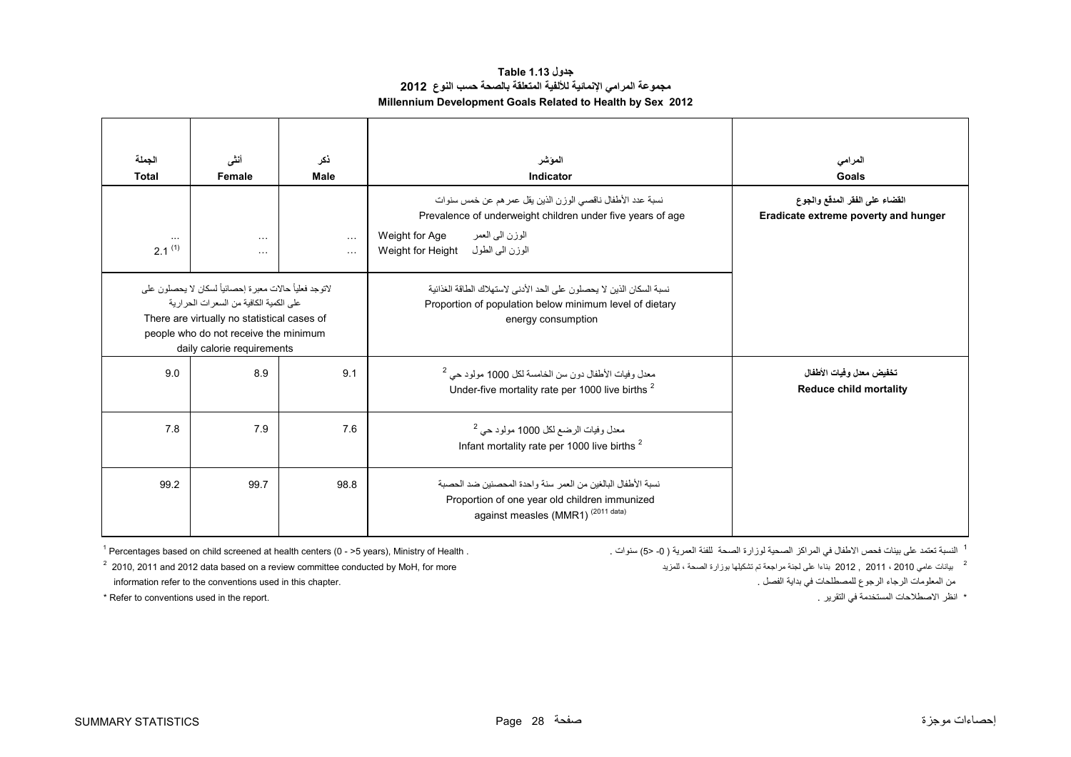| جدول Table 1.13                                                 |  |  |  |  |  |  |
|-----------------------------------------------------------------|--|--|--|--|--|--|
| مجموعة المرامي الإنمائية للألفية المتعلقة بالصحة حسب النوع 2012 |  |  |  |  |  |  |
| Millennium Development Goals Related to Health by Sex 2012      |  |  |  |  |  |  |

<span id="page-28-0"></span>

| الجملة<br><b>Total</b>  | أنشى<br>Female                                                                                                                                                                                                              | نكر<br><b>Male</b>    | الموشر<br>Indicator                                                                                                                                                                                 | المرامى<br>Goals                                                       |
|-------------------------|-----------------------------------------------------------------------------------------------------------------------------------------------------------------------------------------------------------------------------|-----------------------|-----------------------------------------------------------------------------------------------------------------------------------------------------------------------------------------------------|------------------------------------------------------------------------|
| $\cdots$<br>$2.1^{(1)}$ | $\cdots$<br>$\cdots$                                                                                                                                                                                                        | $\cdots$<br>$\ddotsc$ | نسبة عدد الأطفال ناقصي الوزن الذين يقل عمر هم عن خمس سنوات<br>Prevalence of underweight children under five years of age<br>الوزن المي العمر<br>Weight for Age<br>الوزن الى الطول Weight for Height | القضاء على الفقر المدقع والجوع<br>Eradicate extreme poverty and hunger |
|                         | لاتوجد فعلياً حالات معبر ة إحصـائياً لسكان لا يحصلون على<br>على الكمية الكافية من السعر ات الحر ار ية<br>There are virtually no statistical cases of<br>people who do not receive the minimum<br>daily calorie requirements |                       | نسبة السكان الذين لا يحصلون على الحد الأدنى لاستهلاك الطاقة الغذائية<br>Proportion of population below minimum level of dietary<br>energy consumption                                               |                                                                        |
| 9.0                     | 8.9                                                                                                                                                                                                                         | 9.1                   | معدل وفيات الأطفال دون سن الخامسة لكل 1000 مولود حي <sup>2</sup><br>Under-five mortality rate per 1000 live births <sup>2</sup>                                                                     | تخفيض معدل وفيات الأطفال<br><b>Reduce child mortality</b>              |
| 7.8                     | 7.9                                                                                                                                                                                                                         | 7.6                   | معدل وفيات الرضع لكل 1000 مولود حي <sup>2</sup><br>Infant mortality rate per 1000 live births <sup>2</sup>                                                                                          |                                                                        |
| 99.2                    | 99.7                                                                                                                                                                                                                        | 98.8                  | نسبة الأطفال البالغين من العمر  سنة و احدة المحصنين ضد الحصبة<br>Proportion of one year old children immunized<br>against measles (MMR1) <sup>(2011 data)</sup>                                     |                                                                        |

<sup>1</sup> النسبة تعتمد

\* Refer to conventions used in the report. . التقرير في المستخدمة االصطالحات انظر\*

 $1$  Percentages based on child screened at health centers (0 - >5 years), Ministry of Health .

 $^2$  2012 . 2011 and 2012 data based on a review committee conducted by MoH, for more بيانات عامي 2010, 2011 and 2012 data based on a review committee conducted by MoH, for more information refer to the conventions used in this chapter. . الفصل بداية في للمصطلحات الرجوع الرجاء المعلومات من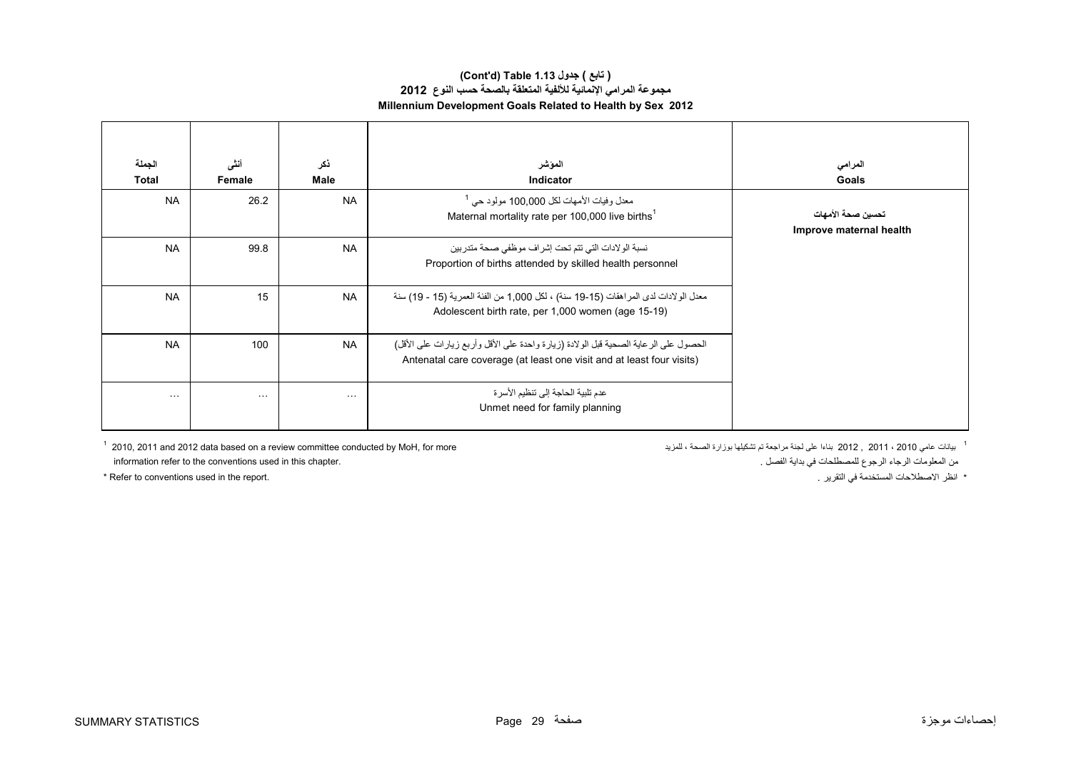#### **(Cont'd) Table 1.13 جدول ) تابع( مجموعة المرامي اإلنمائية لأللفية المتعلقة بالصحة حسب النوع<sup>2012</sup> Millennium Development Goals Related to Health by Sex 2012**

| الجملة       | أنشى                 | ذكر         | الموشر                                                                                                                                                        | المرامى                                      |
|--------------|----------------------|-------------|---------------------------------------------------------------------------------------------------------------------------------------------------------------|----------------------------------------------|
| <b>Total</b> | Female               | <b>Male</b> | <b>Indicator</b>                                                                                                                                              | Goals                                        |
| <b>NA</b>    | 26.2                 | <b>NA</b>   | معدل وفيات الأمهات لكل 100,000 مولود حي<br>Maternal mortality rate per 100,000 live births <sup>1</sup>                                                       | تحسين صحة الأمهات<br>Improve maternal health |
| <b>NA</b>    | 99.8                 | <b>NA</b>   | نسبة الولادات التي تتم تحت إشراف موظفي صحة متدربين<br>Proportion of births attended by skilled health personnel                                               |                                              |
| <b>NA</b>    | 15                   | <b>NA</b>   | معدل الولادات لدى المر اهقات (15-19 سنة) ، لكل 1,000 من الفئة العمرية (15 - 19) سنة<br>Adolescent birth rate, per 1,000 women (age 15-19)                     |                                              |
| <b>NA</b>    | 100                  | <b>NA</b>   | الحصول على الرعاية الصحية قبل الولادة (زيارة واحدة على الأقل وأربع زيارات على الأقل)<br>Antenatal care coverage (at least one visit and at least four visits) |                                              |
| $\cdots$     | $\sim$ $\sim$ $\sim$ | $\cdots$    | عدم تلبية الحاجة إلى تنظيم الأسر ة<br>Unmet need for family planning                                                                                          |                                              |

 $^{\rm 1}$  2012  $^{\rm 2011}$  and 2012 data based on a review committee conducted by MoH, for more يلمانه بوزارة تشكيلها توزارة الصحة ، للمزيد ، الصحة بوزارة تشكيلها توزارة الصحة ، للمزيد ، الصحة ، للمزيد ، الصحة ، للمزيد ، information refer to the conventions used in this chapter. . الفصل بداية في للمصطلحات الرجوع الرجاء المعلومات من

\* Refer to conventions used in the report. . . . . . . انظر الاصطلاحات المستخدمة في التقرير "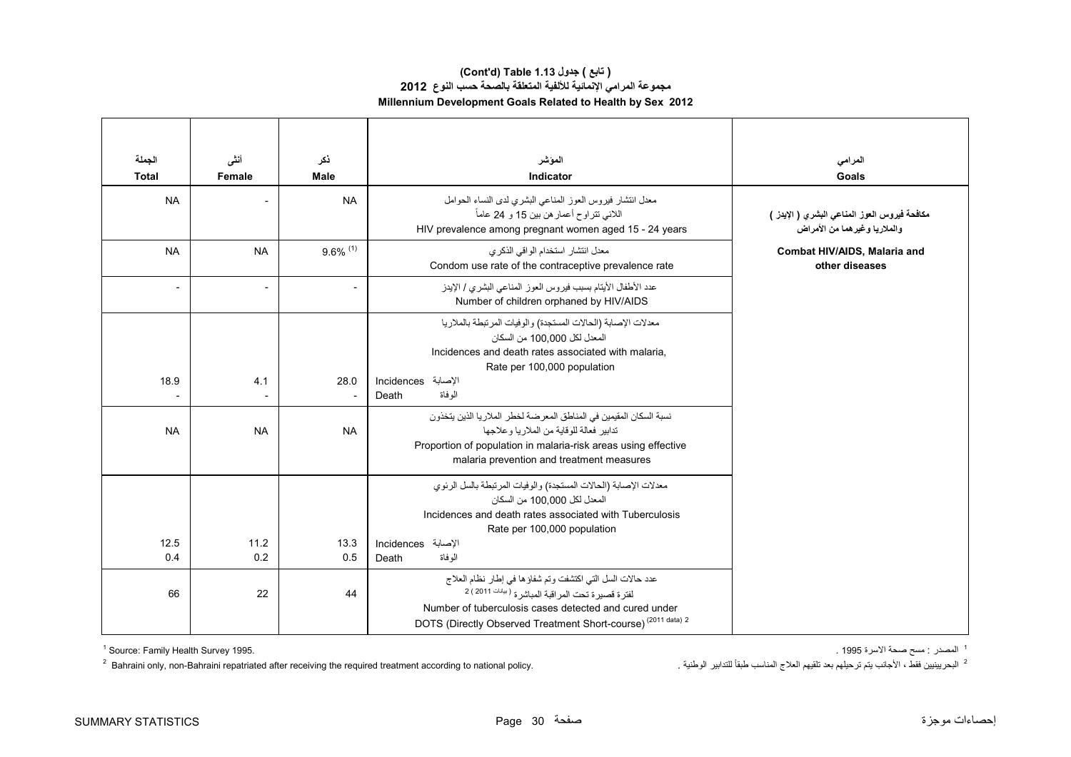#### **مجموعة المرامي اإلنمائية لأللفية المتعلقة بالصحة حسب النوع<sup>2012</sup> Millennium Development Goals Related to Health by Sex 2012 (Cont'd) Table 1.13 جدول ) تابع(**

| الجملة<br><b>Total</b>   | أنشى<br>Female           | ذكر<br><b>Male</b>     | المؤشر<br>Indicator                                                                                                                                                                                                                                             | المرامى<br>Goals                                                                |
|--------------------------|--------------------------|------------------------|-----------------------------------------------------------------------------------------------------------------------------------------------------------------------------------------------------------------------------------------------------------------|---------------------------------------------------------------------------------|
| <b>NA</b>                |                          | <b>NA</b>              | معدل انتشار فيروس العوز المناعي البشري لدى النساء الحوامل<br>اللائي نتراوح أعمار هن بين 15 و 24 عاماً<br>HIV prevalence among pregnant women aged 15 - 24 years                                                                                                 | مكافحة فيروس العوز المناعي البشري ( الإيدز )<br>و الملاريا وغير هما من الأمر اض |
| <b>NA</b>                | <b>NA</b>                | $9.6\%$ <sup>(1)</sup> | معدل انتشار استخدام الواقى الذكرى<br>Condom use rate of the contraceptive prevalence rate                                                                                                                                                                       | Combat HIV/AIDS, Malaria and<br>other diseases                                  |
| $\overline{\phantom{0}}$ | $\overline{\phantom{a}}$ | $\overline{a}$         | عدد الأطفال الأيتام بسبب فيروس العوز المناعي البشري / الإيدز<br>Number of children orphaned by HIV/AIDS                                                                                                                                                         |                                                                                 |
| 18.9                     | 4.1                      | 28.0                   | معدلات الإصابة (الحالات المستجدة) والوفيات المرتبطة بالملاريا<br>المعدل لكل 100.000 من السكان<br>Incidences and death rates associated with malaria,<br>Rate per 100,000 population<br>الإصابة Incidences<br>الو فاة<br>Death                                   |                                                                                 |
| <b>NA</b>                | <b>NA</b>                | <b>NA</b>              | نسبة السكان المقيمين في المناطق المعر ضنة لخطر  الملار يا الذين يتخذون<br>تدابير فعالة للوقابة من الملاربا وعلاجها<br>Proportion of population in malaria-risk areas using effective<br>malaria prevention and treatment measures                               |                                                                                 |
| 12.5                     | 11.2                     | 13.3                   | معدلات الإصبابة (الحالات المستجدة) والوفيات المر تبطة بالسل الر نو ي<br>المعدل لكل 100.000 من السكان<br>Incidences and death rates associated with Tuberculosis<br>Rate per 100,000 population<br>الإصابة Incidences                                            |                                                                                 |
| 0.4                      | 0.2                      | 0.5                    | الو فاة<br>Death                                                                                                                                                                                                                                                |                                                                                 |
| 66                       | 22                       | 44                     | عدد حالات السل التي اكتشفت وتم شفاؤها في إطار نظام العلاج<br>لفترة قصيرة تحت المراقبة المباشرة <sup>(بيانات</sup> 2011 ) 2<br>Number of tuberculosis cases detected and cured under<br>DOTS (Directly Observed Treatment Short-course) <sup>(2011 data)</sup> 2 |                                                                                 |

<sup>1</sup> المصدر : مسح صحة الأسرة 1995 .

1 المصدر : مسح صحة الأسرة 1995 .<br>2 البحربينيين فقط ، الأجانب يتم ترحيلهم بعد تلقيهم العلاج المناسب طبقاً للتدابير الوطنية . المحاسب طبقاً للتدابير الوطنية . المحاسب المعاشرة 1995 .<br>2 البحربينيين فقط ، الأجانب يتم ترحيلهم <sup>2</sup> Bahraini only, non-Bahraini repatriated after receiving the required treatment according to national policy.